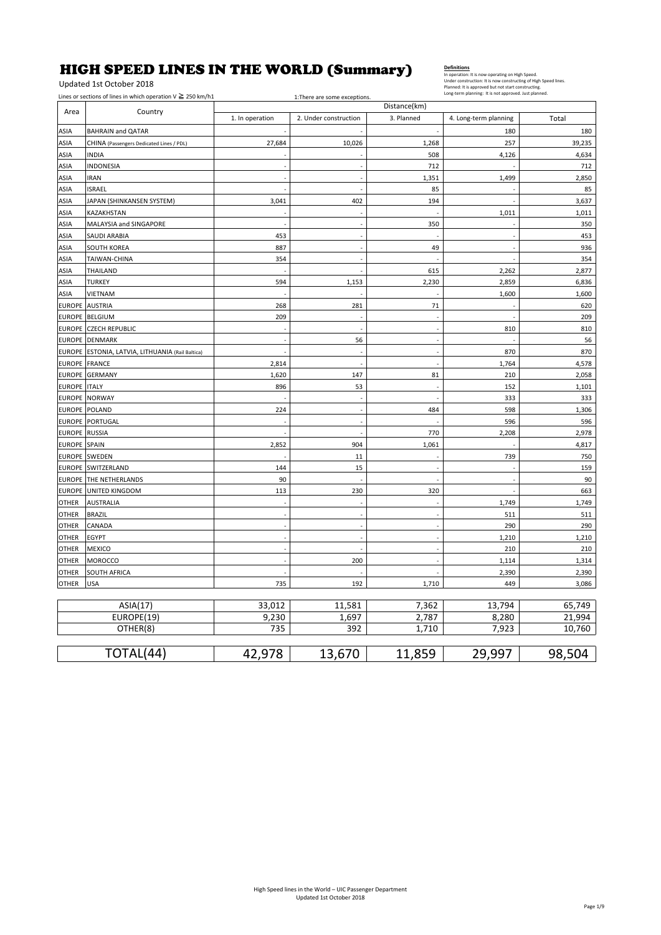# HIGH SPEED LINES IN THE WORLD (Summary)

Updated 1st October 2018

### Lines or sections of lines in which operation  $V$  ≥ 250 km/h1 1:There are some exceptions.

| Distance(km)<br>Area<br>Country |                                           |                 |                       |                      |                       |        |
|---------------------------------|-------------------------------------------|-----------------|-----------------------|----------------------|-----------------------|--------|
|                                 |                                           | 1. In operation | 2. Under construction | 3. Planned           | 4. Long-term planning | Total  |
| ASIA                            | <b>BAHRAIN and QATAR</b>                  |                 |                       |                      | 180                   | 180    |
| ASIA                            | CHINA (Passengers Dedicated Lines / PDL)  | 27,684          | 10,026                | 1,268                | 257                   | 39,235 |
| ASIA                            | <b>INDIA</b>                              |                 |                       | 508                  | 4,126                 | 4,634  |
| ASIA                            | INDONESIA                                 |                 | ÷,                    | 712                  |                       | 712    |
| ASIA                            | <b>IRAN</b>                               |                 |                       | 1,351                | 1,499                 | 2,850  |
| ASIA                            | <b>ISRAEL</b>                             |                 | L,                    | 85                   |                       | 85     |
| ASIA                            | JAPAN (SHINKANSEN SYSTEM)                 | 3,041           | 402                   | 194                  |                       | 3,637  |
| ASIA                            | KAZAKHSTAN                                |                 | ł,                    |                      | 1,011                 | 1,011  |
| ASIA                            | MALAYSIA and SINGAPORE                    |                 | $\overline{a}$        | 350                  |                       | 350    |
| ASIA                            | SAUDI ARABIA                              | 453             | $\overline{a}$        |                      |                       | 453    |
| ASIA                            | <b>SOUTH KOREA</b>                        | 887             | ÷,                    | 49                   |                       | 936    |
| ASIA                            | TAIWAN-CHINA                              | 354             | L.                    |                      |                       | 354    |
| ASIA                            | THAILAND                                  |                 | ÷,                    | 615                  | 2,262                 | 2,877  |
| ASIA                            | <b>TURKEY</b>                             | 594             | 1,153                 | 2,230                | 2,859                 | 6,836  |
| ASIA                            | VIETNAM                                   |                 |                       |                      | 1,600                 | 1,600  |
| <b>EUROPE</b> AUSTRIA           |                                           | 268             | 281                   | 71                   |                       | 620    |
|                                 | EUROPE BELGIUM                            | 209             | ł,                    |                      |                       | 209    |
|                                 | <b>EUROPE CZECH REPUBLIC</b>              |                 |                       |                      | 810                   | 810    |
| <b>EUROPE</b>                   | <b>DENMARK</b>                            |                 | 56                    | l,                   |                       | 56     |
| <b>EUROPE</b>                   | ESTONIA, LATVIA, LITHUANIA (Rail Baltica) |                 | ÷,                    | ÷,                   | 870                   | 870    |
| <b>EUROPE</b>                   | <b>FRANCE</b>                             | 2,814           | L.                    |                      | 1,764                 | 4,578  |
| <b>EUROPE</b>                   | <b>GERMANY</b>                            | 1,620           | 147                   | 81                   | 210                   | 2,058  |
| <b>EUROPE</b>                   | <b>ITALY</b>                              | 896             | 53                    |                      | 152                   | 1,101  |
| <b>EUROPE</b>                   | <b>NORWAY</b>                             |                 | ł,                    |                      | 333                   | 333    |
| <b>EUROPE</b>                   | POLAND                                    | 224             | ÷.                    | 484                  | 598                   | 1,306  |
| <b>EUROPE</b>                   | PORTUGAL                                  |                 | ÷,                    |                      | 596                   | 596    |
| <b>EUROPE</b>                   | <b>RUSSIA</b>                             |                 |                       | 770                  | 2,208                 | 2,978  |
| <b>EUROPE</b>                   | SPAIN                                     | 2,852           | 904                   | 1,061                |                       | 4,817  |
| <b>EUROPE</b>                   | <b>SWEDEN</b>                             |                 | 11                    |                      | 739                   | 750    |
| <b>EUROPE</b>                   | SWITZERLAND                               | 144             | 15                    |                      |                       | 159    |
| <b>EUROPE</b>                   | THE NETHERLANDS                           | 90              |                       |                      |                       | 90     |
| <b>EUROPE</b>                   | UNITED KINGDOM                            | 113             | 230                   | 320                  |                       | 663    |
| <b>OTHER</b>                    | <b>AUSTRALIA</b>                          |                 |                       |                      | 1,749                 | 1,749  |
| OTHER                           | <b>BRAZIL</b>                             |                 | ÷,                    | ÷,                   | 511                   | 511    |
| <b>OTHER</b>                    | CANADA                                    |                 | ÷,                    | ÷,                   | 290                   | 290    |
| OTHER                           | EGYPT                                     |                 | L.                    | $\overline{a}$       | 1,210                 | 1,210  |
| <b>OTHER</b>                    | <b>MEXICO</b>                             |                 |                       | $\ddot{\phantom{1}}$ | 210                   | 210    |
| <b>OTHER</b>                    | <b>MOROCCO</b>                            |                 | 200                   |                      | 1,114                 | 1,314  |
| OTHER                           | SOUTH AFRICA                              |                 |                       |                      | 2,390                 | 2,390  |
| <b>OTHER</b>                    | <b>USA</b>                                | 735             | 192                   | 1,710                | 449                   | 3,086  |
|                                 |                                           |                 |                       |                      |                       |        |
|                                 | ASIA(17)                                  | 33,012          | 11,581                | 7,362                | 13,794<br>8,280       | 65,749 |
|                                 | EUROPE(19)                                | 9,230           | 1,697                 | 2,787                |                       | 21,994 |
|                                 | OTHER(8)                                  | 735             | 392                   | 1,710                | 7,923                 | 10,760 |
|                                 | TOTAL(44)                                 | 42,978          | 13,670                | 11,859               | 29,997                | 98,504 |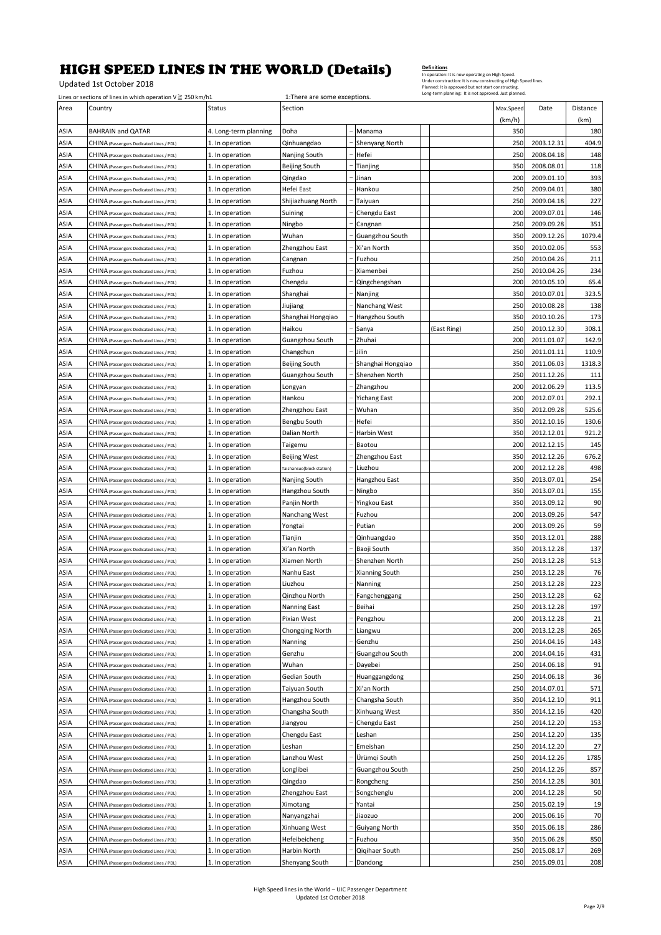Updated 1st October 2018

|             | Planned: It is approved but not start constructing<br>Long-term planning: It is not approved. Just planned.<br>Lines or sections of lines in which operation $V \ge 250$ km/h1<br>1:There are some exceptions. |                       |                           |  |                     |             |                     |            |                  |
|-------------|----------------------------------------------------------------------------------------------------------------------------------------------------------------------------------------------------------------|-----------------------|---------------------------|--|---------------------|-------------|---------------------|------------|------------------|
| Area        | Country                                                                                                                                                                                                        | Status                | Section                   |  |                     |             | Max.Speed<br>(km/h) | Date       | Distance<br>(km) |
| ASIA        | <b>BAHRAIN and QATAR</b>                                                                                                                                                                                       | 4. Long-term planning | Doha                      |  | Manama              |             | 350                 |            | 180              |
| ASIA        | CHINA (Passengers Dedicated Lines / PDL)                                                                                                                                                                       | 1. In operation       | Qinhuangdao               |  | Shenyang North      |             | 250                 | 2003.12.31 | 404.9            |
| ASIA        | CHINA (Passengers Dedicated Lines / PDL)                                                                                                                                                                       | 1. In operation       | Nanjing South             |  | Hefei               |             | 250                 | 2008.04.18 | 148              |
| ASIA        | CHINA (Passengers Dedicated Lines / PDL)                                                                                                                                                                       | 1. In operation       | Beijing South             |  | Tianjing            |             | 350                 | 2008.08.01 | 118              |
| ASIA        | CHINA (Passengers Dedicated Lines / PDL)                                                                                                                                                                       | 1. In operation       | Qingdao                   |  | Jinan               |             | 200                 | 2009.01.10 | 393              |
| ASIA        | CHINA (Passengers Dedicated Lines / PDL)                                                                                                                                                                       | 1. In operation       | Hefei East                |  | Hankou              |             | 250                 | 2009.04.01 | 380              |
| ASIA        | CHINA (Passengers Dedicated Lines / PDL)                                                                                                                                                                       | 1. In operation       | Shijiazhuang North        |  | Taiyuan             |             | 250                 | 2009.04.18 | 227              |
| ASIA        | CHINA (Passengers Dedicated Lines / PDL)                                                                                                                                                                       | 1. In operation       | Suining                   |  | Chengdu East        |             | 200                 | 2009.07.01 | 146              |
| ASIA        | CHINA (Passengers Dedicated Lines / PDL)                                                                                                                                                                       | 1. In operation       | Ningbo                    |  | Cangnan             |             | 250                 | 2009.09.28 | 351              |
| ASIA        | CHINA (Passengers Dedicated Lines / PDL)                                                                                                                                                                       | 1. In operation       | Wuhan                     |  | Guangzhou South     |             | 350                 | 2009.12.26 | 1079.4           |
| ASIA        | CHINA (Passengers Dedicated Lines / PDL)                                                                                                                                                                       | 1. In operation       | Zhengzhou East            |  | Xi'an North         |             | 350                 | 2010.02.06 | 553              |
| ASIA        | CHINA (Passengers Dedicated Lines / PDL)                                                                                                                                                                       | 1. In operation       | Cangnan                   |  | Fuzhou              |             | 250                 | 2010.04.26 | 211              |
| ASIA        | CHINA (Passengers Dedicated Lines / PDL)                                                                                                                                                                       | 1. In operation       | Fuzhou                    |  | Xiamenbei           |             | 250                 | 2010.04.26 | 234              |
| ASIA        | CHINA (Passengers Dedicated Lines / PDL)                                                                                                                                                                       | 1. In operation       | Chengdu                   |  | Qingchengshan       |             | 200                 | 2010.05.10 | 65.4             |
| ASIA        | CHINA (Passengers Dedicated Lines / PDL)                                                                                                                                                                       | 1. In operation       | Shanghai                  |  | Nanjing             |             | 350                 | 2010.07.01 | 323.5            |
| ASIA        | CHINA (Passengers Dedicated Lines / PDL)                                                                                                                                                                       | 1. In operation       | Jiujiang                  |  | Nanchang West       |             | 250                 | 2010.08.28 | 138              |
| ASIA        | CHINA (Passengers Dedicated Lines / PDL)                                                                                                                                                                       | 1. In operation       | Shanghai Hongqiao         |  | Hangzhou South      |             | 350                 | 2010.10.26 | 173              |
| ASIA        | CHINA (Passengers Dedicated Lines / PDL)                                                                                                                                                                       | 1. In operation       | Haikou                    |  | Sanya               | (East Ring) | 250                 | 2010.12.30 | 308.1            |
| ASIA        | CHINA (Passengers Dedicated Lines / PDL)                                                                                                                                                                       | 1. In operation       | Guangzhou South           |  | Zhuhai              |             | 200                 | 2011.01.07 | 142.9            |
| ASIA        | CHINA (Passengers Dedicated Lines / PDL)                                                                                                                                                                       | 1. In operation       | Changchun                 |  | Jilin               |             | 250                 | 2011.01.11 | 110.9            |
| ASIA        | CHINA (Passengers Dedicated Lines / PDL)                                                                                                                                                                       | 1. In operation       | Beijing South             |  | Shanghai Hongqiao   |             | 350                 | 2011.06.03 | 1318.3           |
| ASIA        | CHINA (Passengers Dedicated Lines / PDL)                                                                                                                                                                       | 1. In operation       | Guangzhou South           |  | Shenzhen North      |             | 250                 | 2011.12.26 | 111              |
| ASIA        | CHINA (Passengers Dedicated Lines / PDL)                                                                                                                                                                       | 1. In operation       | Longyan                   |  | Zhangzhou           |             | 200                 | 2012.06.29 | 113.5            |
| ASIA        | CHINA (Passengers Dedicated Lines / PDL)                                                                                                                                                                       | 1. In operation       | Hankou                    |  | <b>Yichang East</b> |             | 200                 | 2012.07.01 | 292.1            |
| ASIA        | CHINA (Passengers Dedicated Lines / PDL)                                                                                                                                                                       | 1. In operation       | Zhengzhou East            |  | Wuhan               |             | 350                 | 2012.09.28 | 525.6            |
| ASIA        | CHINA (Passengers Dedicated Lines / PDL)                                                                                                                                                                       | 1. In operation       | Bengbu South              |  | Hefei               |             | 350                 | 2012.10.16 | 130.6            |
| ASIA        | CHINA (Passengers Dedicated Lines / PDL)                                                                                                                                                                       | 1. In operation       | Dalian North              |  | Harbin West         |             | 350                 | 2012.12.01 | 921.2            |
| ASIA        | CHINA (Passengers Dedicated Lines / PDL)                                                                                                                                                                       | 1. In operation       | Taigemu                   |  | Baotou              |             | 200                 | 2012.12.15 | 145              |
| ASIA        | CHINA (Passengers Dedicated Lines / PDL)                                                                                                                                                                       | 1. In operation       | <b>Beijing West</b>       |  | Zhengzhou East      |             | 350                 | 2012.12.26 | 676.2            |
| ASIA        | CHINA (Passengers Dedicated Lines / PDL)                                                                                                                                                                       | 1. In operation       | Taishansuo(block station) |  | Liuzhou             |             | 200                 | 2012.12.28 | 498              |
| ASIA        | CHINA (Passengers Dedicated Lines / PDL)                                                                                                                                                                       | 1. In operation       | Nanjing South             |  | Hangzhou East       |             | 350                 | 2013.07.01 | 254              |
| ASIA        | CHINA (Passengers Dedicated Lines / PDL)                                                                                                                                                                       | 1. In operation       | Hangzhou South            |  | Ningbo              |             | 350                 | 2013.07.01 | 155              |
| ASIA        | CHINA (Passengers Dedicated Lines / PDL)                                                                                                                                                                       | 1. In operation       | Panjin North              |  | Yingkou East        |             | 350                 | 2013.09.12 | 90               |
| ASIA        | CHINA (Passengers Dedicated Lines / PDL)                                                                                                                                                                       | 1. In operation       | Nanchang West             |  | Fuzhou              |             | 200                 | 2013.09.26 | 547              |
| ASIA        | CHINA (Passengers Dedicated Lines / PDL)                                                                                                                                                                       | 1. In operation       | Yongtai                   |  | Putian              |             | 200                 | 2013.09.26 | 59               |
| ASIA        | CHINA (Passengers Dedicated Lines / PDL)                                                                                                                                                                       | 1. In operation       | Tianjin                   |  | Qinhuangdao         |             | 350                 | 2013.12.01 | 288              |
| ASIA        | CHINA (Passengers Dedicated Lines / PDL)                                                                                                                                                                       | 1. In operation       | Xi'an North               |  | Baoji South         |             | 350                 | 2013.12.28 | 137              |
| ASIA        | CHINA (Passengers Dedicated Lines / PDL)                                                                                                                                                                       | 1. In operation       | Xiamen North              |  | Shenzhen North      |             | 250                 | 2013.12.28 | 513              |
| ASIA        | CHINA (Passengers Dedicated Lines / PDL)                                                                                                                                                                       | 1. In operation       | Nanhu East                |  | Xianning South      |             | 250                 | 2013.12.28 | 76               |
| ASIA        | CHINA (Passengers Dedicated Lines / PDL)                                                                                                                                                                       | 1. In operation       | Liuzhou                   |  | Nanning             |             | 250                 | 2013.12.28 | 223              |
| ASIA        | CHINA (Passengers Dedicated Lines / PDL)                                                                                                                                                                       | 1. In operation       | Qinzhou North             |  | Fangchenggang       |             | 250                 | 2013.12.28 | 62               |
| ASIA        | CHINA (Passengers Dedicated Lines / PDL)                                                                                                                                                                       | 1. In operation       | Nanning East              |  | Beihai              |             | 250                 | 2013.12.28 | 197              |
| ASIA        | CHINA (Passengers Dedicated Lines / PDL)                                                                                                                                                                       | 1. In operation       | Pixian West               |  | Pengzhou            |             | 200                 | 2013.12.28 | 21               |
| ASIA        | CHINA (Passengers Dedicated Lines / PDL)                                                                                                                                                                       | 1. In operation       | Chongqing North           |  | Liangwu             |             | 200                 | 2013.12.28 | 265              |
| ASIA        | CHINA (Passengers Dedicated Lines / PDL)                                                                                                                                                                       | 1. In operation       | Nanning                   |  | Genzhu              |             | 250                 | 2014.04.16 | 143              |
| ASIA        | CHINA (Passengers Dedicated Lines / PDL)                                                                                                                                                                       | 1. In operation       | Genzhu                    |  | Guangzhou South     |             | 200                 | 2014.04.16 | 431              |
| ASIA        | CHINA (Passengers Dedicated Lines / PDL)                                                                                                                                                                       | 1. In operation       | Wuhan                     |  | Dayebei             |             | 250                 | 2014.06.18 | 91               |
| ASIA        | CHINA (Passengers Dedicated Lines / PDL)                                                                                                                                                                       | 1. In operation       | Gedian South              |  | Huanggangdong       |             | 250                 | 2014.06.18 | 36               |
| ASIA        | CHINA (Passengers Dedicated Lines / PDL)                                                                                                                                                                       | 1. In operation       | Taiyuan South             |  | Xi'an North         |             | 250                 | 2014.07.01 | 571              |
| ASIA        | CHINA (Passengers Dedicated Lines / PDL)                                                                                                                                                                       | 1. In operation       | Hangzhou South            |  | Changsha South      |             | 350                 | 2014.12.10 | 911              |
| ASIA        | CHINA (Passengers Dedicated Lines / PDL)                                                                                                                                                                       | 1. In operation       | Changsha South            |  | Xinhuang West       |             | 350                 | 2014.12.16 | 420              |
| ASIA        | CHINA (Passengers Dedicated Lines / PDL)                                                                                                                                                                       | 1. In operation       | Jiangyou                  |  | Chengdu East        |             | 250                 | 2014.12.20 | 153              |
| ASIA        | CHINA (Passengers Dedicated Lines / PDL)                                                                                                                                                                       | 1. In operation       | Chengdu East              |  | Leshan              |             | 250                 | 2014.12.20 | 135              |
| ASIA        | CHINA (Passengers Dedicated Lines / PDL)                                                                                                                                                                       | 1. In operation       | Leshan                    |  | Emeishan            |             | 250                 | 2014.12.20 | 27               |
| ASIA        | CHINA (Passengers Dedicated Lines / PDL)                                                                                                                                                                       | 1. In operation       | Lanzhou West              |  | Ürümqi South        |             | 250                 | 2014.12.26 | 1785             |
| <b>ASIA</b> | CHINA (Passengers Dedicated Lines / PDL)                                                                                                                                                                       | 1. In operation       | Longlibei                 |  | Guangzhou South     |             | 250                 | 2014.12.26 | 857              |
| ASIA        | CHINA (Passengers Dedicated Lines / PDL)                                                                                                                                                                       | 1. In operation       | Qingdao                   |  | Rongcheng           |             | 250                 | 2014.12.28 | 301              |
| ASIA        | CHINA (Passengers Dedicated Lines / PDL)                                                                                                                                                                       | 1. In operation       | Zhengzhou East            |  | Songchenglu         |             | 200                 | 2014.12.28 | 50               |
| ASIA        | CHINA (Passengers Dedicated Lines / PDL)                                                                                                                                                                       | 1. In operation       | Ximotang                  |  | Yantai              |             | 250                 | 2015.02.19 | 19               |
| ASIA        | CHINA (Passengers Dedicated Lines / PDL)                                                                                                                                                                       | 1. In operation       | Nanyangzhai               |  | Jiaozuo             |             | 200                 | 2015.06.16 | 70               |
| ASIA        | CHINA (Passengers Dedicated Lines / PDL)                                                                                                                                                                       | 1. In operation       | Xinhuang West             |  | Guiyang North       |             | 350                 | 2015.06.18 | 286              |
| ASIA        | CHINA (Passengers Dedicated Lines / PDL)                                                                                                                                                                       | 1. In operation       | Hefeibeicheng             |  | Fuzhou              |             | 350                 | 2015.06.28 | 850              |
| ASIA        | CHINA (Passengers Dedicated Lines / PDL)                                                                                                                                                                       | 1. In operation       | Harbin North              |  | Qiqihaer South      |             | 250                 | 2015.08.17 | 269              |
| ASIA        | CHINA (Passengers Dedicated Lines / PDL)                                                                                                                                                                       | 1. In operation       | Shenyang South            |  | Dandong             |             | 250                 | 2015.09.01 | 208              |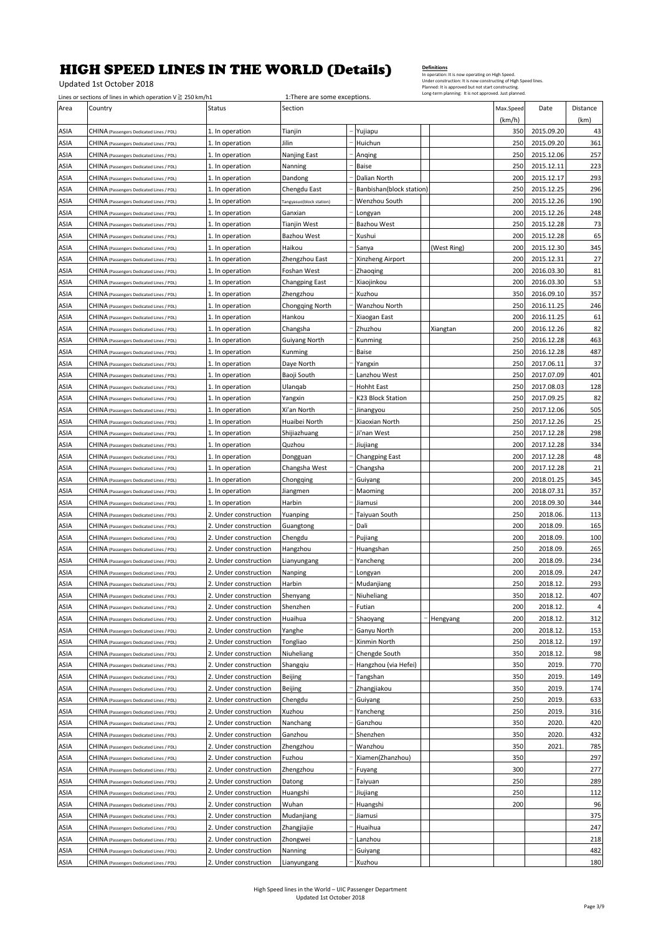Updated 1st October 2018

|              | Lines or sections of lines in which operation $V \ge 250$ km/h1 |                       | Long-term planning: It is not approved. Just planned.<br>1: There are some exceptions. |  |                          |             |           |            |                |
|--------------|-----------------------------------------------------------------|-----------------------|----------------------------------------------------------------------------------------|--|--------------------------|-------------|-----------|------------|----------------|
| Area         | Country                                                         | Status                | Section                                                                                |  |                          |             | Max.Speed | Date       | Distance       |
|              |                                                                 |                       |                                                                                        |  |                          |             | (km/h)    |            | (km)           |
| ASIA         | CHINA (Passengers Dedicated Lines / PDL)                        | 1. In operation       | Tianjin                                                                                |  | Yujiapu                  |             | 350       | 2015.09.20 | 43             |
| ASIA         | CHINA (Passengers Dedicated Lines / PDL)                        | 1. In operation       | Jilin                                                                                  |  | Huichun                  |             | 250       | 2015.09.20 | 361            |
| ASIA         | CHINA (Passengers Dedicated Lines / PDL)                        | 1. In operation       | Nanjing East                                                                           |  | Anqing                   |             | 250       | 2015.12.06 | 257            |
| ASIA         | CHINA (Passengers Dedicated Lines / PDL)                        | 1. In operation       | Nanning                                                                                |  | Baise                    |             | 250       | 2015.12.11 | 223            |
| ASIA         | CHINA (Passengers Dedicated Lines / PDL)                        | 1. In operation       | Dandong                                                                                |  | Dalian North             |             | 200       | 2015.12.17 | 293            |
| ASIA         | CHINA (Passengers Dedicated Lines / PDL)                        | 1. In operation       | Chengdu East                                                                           |  | Banbishan(block station) |             | 250       | 2015.12.25 | 296            |
| ASIA         | CHINA (Passengers Dedicated Lines / PDL)                        | 1. In operation       | Tangyasuo(block station)                                                               |  | Wenzhou South            |             | 200       | 2015.12.26 | 190            |
| ASIA         | CHINA (Passengers Dedicated Lines / PDL)                        | 1. In operation       | Ganxian                                                                                |  | Longyan                  |             | 200       | 2015.12.26 | 248            |
| ASIA         | CHINA (Passengers Dedicated Lines / PDL)                        | 1. In operation       | Tianjin West                                                                           |  | Bazhou West              |             | 250       | 2015.12.28 | 73             |
| ASIA         | CHINA (Passengers Dedicated Lines / PDL)                        | 1. In operation       | Bazhou West                                                                            |  | Xushui                   |             | 200       | 2015.12.28 | 65             |
| ASIA         | CHINA (Passengers Dedicated Lines / PDL)                        | 1. In operation       | Haikou                                                                                 |  | Sanya                    | (West Ring) | 200       | 2015.12.30 | 345            |
| ASIA         | CHINA (Passengers Dedicated Lines / PDL)                        | 1. In operation       | Zhengzhou East                                                                         |  | Xinzheng Airport         |             | 200       | 2015.12.31 | 27             |
| ASIA         | CHINA (Passengers Dedicated Lines / PDL)                        | 1. In operation       | Foshan West                                                                            |  | Zhaoging                 |             | 200       | 2016.03.30 | 81             |
| ASIA         | CHINA (Passengers Dedicated Lines / PDL)                        | 1. In operation       | <b>Changping East</b>                                                                  |  | Xiaojinkou               |             | 200       | 2016.03.30 | 53             |
| ASIA         | CHINA (Passengers Dedicated Lines / PDL)                        | 1. In operation       | Zhengzhou                                                                              |  | Xuzhou                   |             | 350       | 2016.09.10 | 357            |
| ASIA         | CHINA (Passengers Dedicated Lines / PDL)                        | 1. In operation       | <b>Chongqing North</b>                                                                 |  | Wanzhou North            |             | 250       | 2016.11.25 | 246            |
| ASIA         | CHINA (Passengers Dedicated Lines / PDL)                        | 1. In operation       | Hankou                                                                                 |  | Xiaogan East             |             | 200       | 2016.11.25 | 61             |
| ASIA         | CHINA (Passengers Dedicated Lines / PDL)                        | 1. In operation       | Changsha                                                                               |  | Zhuzhou                  | Xiangtan    | 200       | 2016.12.26 | 82             |
| ASIA         | CHINA (Passengers Dedicated Lines / PDL)                        | 1. In operation       | Guiyang North                                                                          |  | Kunming                  |             | 250       | 2016.12.28 | 463            |
| ASIA         |                                                                 |                       |                                                                                        |  | Baise                    |             | 250       | 2016.12.28 | 487            |
|              | CHINA (Passengers Dedicated Lines / PDL)                        | 1. In operation       | Kunming                                                                                |  |                          |             |           | 2017.06.11 | 37             |
| ASIA         | CHINA (Passengers Dedicated Lines / PDL)                        | 1. In operation       | Daye North                                                                             |  | Yangxin                  |             | 250       |            |                |
| ASIA         | CHINA (Passengers Dedicated Lines / PDL)                        | 1. In operation       | Baoji South                                                                            |  | Lanzhou West             |             | 250       | 2017.07.09 | 401            |
| ASIA         | CHINA (Passengers Dedicated Lines / PDL)                        | 1. In operation       | Ulangab                                                                                |  | <b>Hohht East</b>        |             | 250       | 2017.08.03 | 128            |
| ASIA         | CHINA (Passengers Dedicated Lines / PDL)                        | 1. In operation       | Yangxin                                                                                |  | K23 Block Station        |             | 250       | 2017.09.25 | 82             |
| ASIA         | CHINA (Passengers Dedicated Lines / PDL)                        | 1. In operation       | Xi'an North                                                                            |  | Jinangyou                |             | 250       | 2017.12.06 | 505            |
| ASIA         | CHINA (Passengers Dedicated Lines / PDL)                        | 1. In operation       | Huaibei North                                                                          |  | Xiaoxian North           |             | 250       | 2017.12.26 | 25             |
| ASIA         | CHINA (Passengers Dedicated Lines / PDL)                        | 1. In operation       | Shijiazhuang                                                                           |  | Ji'nan West              |             | 250       | 2017.12.28 | 298            |
| ASIA         | CHINA (Passengers Dedicated Lines / PDL)                        | 1. In operation       | Quzhou                                                                                 |  | Jiujiang                 |             | 200       | 2017.12.28 | 334            |
| ASIA         | CHINA (Passengers Dedicated Lines / PDL)                        | 1. In operation       | Dongguan                                                                               |  | <b>Changping East</b>    |             | 200       | 2017.12.28 | 48             |
| ASIA         | CHINA (Passengers Dedicated Lines / PDL)                        | 1. In operation       | Changsha West                                                                          |  | Changsha                 |             | 200       | 2017.12.28 | 21             |
| ASIA         | CHINA (Passengers Dedicated Lines / PDL)                        | 1. In operation       | Chongqing                                                                              |  | Guiyang                  |             | 200       | 2018.01.25 | 345            |
| ASIA         | CHINA (Passengers Dedicated Lines / PDL)                        | 1. In operation       | Jiangmen                                                                               |  | Maoming                  |             | 200       | 2018.07.31 | 357            |
| ASIA         | CHINA (Passengers Dedicated Lines / PDL)                        | 1. In operation       | Harbin                                                                                 |  | Jiamusi                  |             | 200       | 2018.09.30 | 344            |
| ASIA         | CHINA (Passengers Dedicated Lines / PDL)                        | 2. Under construction | Yuanping                                                                               |  | Taiyuan South            |             | 250       | 2018.06.   | 113            |
| ASIA         | CHINA (Passengers Dedicated Lines / PDL)                        | 2. Under construction | Guangtong                                                                              |  | Dali                     |             | 200       | 2018.09.   | 165            |
| ASIA         | CHINA (Passengers Dedicated Lines / PDL)                        | 2. Under construction | Chengdu                                                                                |  | Pujiang                  |             | 200       | 2018.09.   | 100            |
| ASIA         | CHINA (Passengers Dedicated Lines / PDL)                        | 2. Under construction | Hangzhou                                                                               |  | Huangshan                |             | 250       | 2018.09.   | 265            |
| ASIA         | CHINA (Passengers Dedicated Lines / PDL)                        | 2. Under construction | Lianyungang                                                                            |  | Yancheng                 |             | 200       | 2018.09    | 234            |
| ASIA         | CHINA (Passengers Dedicated Lines / PDL)                        | 2. Under construction | Nanping                                                                                |  | Longyan                  |             | 200       | 2018.09.   | 247            |
| ASIA         | CHINA (Passengers Dedicated Lines / PDL)                        | 2. Under construction | Harbin                                                                                 |  | Mudanjiang               |             | 250       | 2018.12.   | 293            |
| ASIA         | CHINA (Passengers Dedicated Lines / PDL)                        | 2. Under construction | Shenyang                                                                               |  | Niuheliang               |             | 350       | 2018.12    | 407            |
| ASIA         | CHINA (Passengers Dedicated Lines / PDL)                        | 2. Under construction | Shenzhen                                                                               |  | Futian                   |             | 200       | 2018.12    | $\overline{4}$ |
| ASIA         | CHINA (Passengers Dedicated Lines / PDL)                        | 2. Under construction | Huaihua                                                                                |  | Shaoyang                 | Hengyang    | 200       | 2018.12.   | 312            |
| ASIA         | CHINA (Passengers Dedicated Lines / PDL)                        | 2. Under construction | Yanghe                                                                                 |  | Ganyu North              |             | 200       | 2018.12.   | 153            |
| ASIA         | CHINA (Passengers Dedicated Lines / PDL)                        | 2. Under construction | Tongliao                                                                               |  | Xinmin North             |             | 250       | 2018.12.   | 197            |
| ASIA         | CHINA (Passengers Dedicated Lines / PDL)                        | 2. Under construction | Niuheliang                                                                             |  | Chengde South            |             | 350       | 2018.12.   | 98             |
| ASIA         | CHINA (Passengers Dedicated Lines / PDL)                        | 2. Under construction | Shangqiu                                                                               |  | Hangzhou (via Hefei)     |             | 350       | 2019.      | 770            |
| ASIA         | CHINA (Passengers Dedicated Lines / PDL)                        | 2. Under construction | Beijing                                                                                |  | Tangshan                 |             | 350       | 2019.      | 149            |
|              | CHINA (Passengers Dedicated Lines / PDL)                        | 2. Under construction | Beijing                                                                                |  | Zhangjiakou              |             | 350       | 2019.      | 174            |
| ASIA<br>ASIA | CHINA (Passengers Dedicated Lines / PDL)                        | 2. Under construction | Chengdu                                                                                |  | Guiyang                  |             | 250       | 2019.      | 633            |
|              | CHINA (Passengers Dedicated Lines / PDL)                        | 2. Under construction | Xuzhou                                                                                 |  | Yancheng                 |             | 250       | 2019.      |                |
| ASIA<br>ASIA |                                                                 | 2. Under construction | Nanchang                                                                               |  | Ganzhou                  |             | 350       | 2020.      | 316<br>420     |
|              | CHINA (Passengers Dedicated Lines / PDL)                        |                       |                                                                                        |  |                          |             |           |            |                |
| ASIA         | CHINA (Passengers Dedicated Lines / PDL)                        | 2. Under construction | Ganzhou                                                                                |  | Shenzhen                 |             | 350       | 2020.      | 432            |
| ASIA         | CHINA (Passengers Dedicated Lines / PDL)                        | 2. Under construction | Zhengzhou                                                                              |  | Wanzhou                  |             | 350       | 2021       | 785            |
| ASIA         | CHINA (Passengers Dedicated Lines / PDL)                        | 2. Under construction | Fuzhou                                                                                 |  | Xiamen(Zhanzhou)         |             | 350       |            | 297            |
| ASIA         | CHINA (Passengers Dedicated Lines / PDL)                        | 2. Under construction | Zhengzhou                                                                              |  | Fuyang                   |             | 300       |            | 277            |
| ASIA         | CHINA (Passengers Dedicated Lines / PDL)                        | 2. Under construction | Datong                                                                                 |  | Taiyuan                  |             | 250       |            | 289            |
| ASIA         | CHINA (Passengers Dedicated Lines / PDL)                        | 2. Under construction | Huangshi                                                                               |  | Jiujiang                 |             | 250       |            | 112            |
| ASIA         | CHINA (Passengers Dedicated Lines / PDL)                        | 2. Under construction | Wuhan                                                                                  |  | Huangshi                 |             | 200       |            | 96             |
| ASIA         | CHINA (Passengers Dedicated Lines / PDL)                        | 2. Under construction | Mudanjiang                                                                             |  | Jiamusi                  |             |           |            | 375            |
| ASIA         | CHINA (Passengers Dedicated Lines / PDL)                        | 2. Under construction | Zhangjiajie                                                                            |  | Huaihua                  |             |           |            | 247            |
| ASIA         | CHINA (Passengers Dedicated Lines / PDL)                        | 2. Under construction | Zhongwei                                                                               |  | Lanzhou                  |             |           |            | 218            |
| ASIA         | CHINA (Passengers Dedicated Lines / PDL)                        | 2. Under construction | Nanning                                                                                |  | Guiyang                  |             |           |            | 482            |
| ASIA         | CHINA (Passengers Dedicated Lines / PDL)                        | 2. Under construction | Lianyungang                                                                            |  | Xuzhou                   |             |           |            | 180            |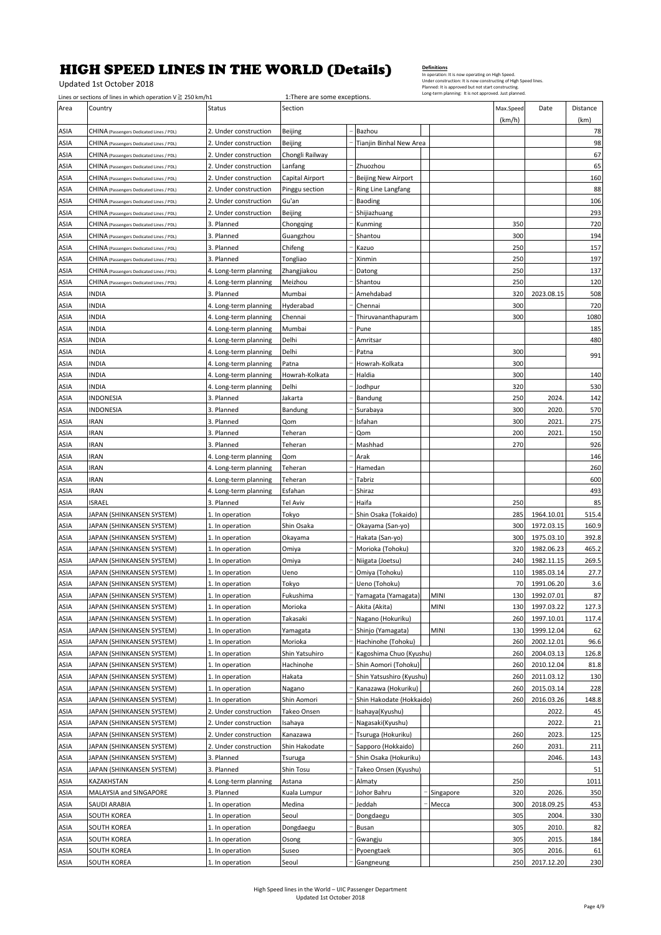Updated 1st October 2018

**Definitions**<br>In operation: It is now operating on High Speed.<br>Under construction: It is now constructing of High Speed lines<br>Planned: It is approved but not start constructing.<br>Long-term planning: It is not approved. Just

|      | Lines or sections of lines in which operation $V \ge 250$ km/h1 |                       | 1: There are some exceptions. |                            |             |                     |            |                  |
|------|-----------------------------------------------------------------|-----------------------|-------------------------------|----------------------------|-------------|---------------------|------------|------------------|
| Area | Country                                                         | <b>Status</b>         | Section                       |                            |             | Max.Speed<br>(km/h) | Date       | Distance<br>(km) |
| ASIA | CHINA (Passengers Dedicated Lines / PDL)                        | 2. Under construction | Beijing                       | Bazhou                     |             |                     |            | 78               |
| ASIA | CHINA (Passengers Dedicated Lines / PDL)                        | 2. Under construction | Beijing                       | Tianjin Binhal New Area    |             |                     |            | 98               |
| ASIA | CHINA (Passengers Dedicated Lines / PDL)                        | 2. Under construction | Chongli Railway               |                            |             |                     |            | 67               |
| ASIA | CHINA (Passengers Dedicated Lines / PDL)                        | 2. Under construction | Lanfang                       | Zhuozhou                   |             |                     |            | 65               |
| ASIA | CHINA (Passengers Dedicated Lines / PDL)                        | 2. Under construction | Capital Airport               | <b>Beijing New Airport</b> |             |                     |            | 160              |
| ASIA | CHINA (Passengers Dedicated Lines / PDL)                        | 2. Under construction | Pinggu section                | Ring Line Langfang         |             |                     |            | 88               |
| ASIA | CHINA (Passengers Dedicated Lines / PDL)                        | 2. Under construction | Gu'an                         | Baoding                    |             |                     |            | 106              |
| ASIA | CHINA (Passengers Dedicated Lines / PDL)                        | 2. Under construction | Beijing                       | Shijiazhuang               |             |                     |            | 293              |
| ASIA | CHINA (Passengers Dedicated Lines / PDL)                        | 3. Planned            | Chongqing                     | Kunming                    |             | 350                 |            | 720              |
| ASIA | CHINA (Passengers Dedicated Lines / PDL)                        | 3. Planned            | Guangzhou                     | Shantou                    |             | 300                 |            | 194              |
| ASIA | CHINA (Passengers Dedicated Lines / PDL)                        | 3. Planned            | Chifeng                       | Kazuo                      |             | 250                 |            | 157              |
| ASIA | CHINA (Passengers Dedicated Lines / PDL)                        | 3. Planned            | Tongliao                      | Xinmin                     |             | 250                 |            | 197              |
| ASIA | CHINA (Passengers Dedicated Lines / PDL)                        | 4. Long-term planning | Zhangjiakou                   | Datong                     |             | 250                 |            | 137              |
| ASIA | CHINA (Passengers Dedicated Lines / PDL)                        | 4. Long-term planning | Meizhou                       | Shantou                    |             | 250                 |            | 120              |
|      | INDIA                                                           | 3. Planned            | Mumbai                        | Amehdabad                  |             | 320                 | 2023.08.15 | 508              |
| ASIA | INDIA                                                           |                       |                               |                            |             |                     |            |                  |
| ASIA |                                                                 | 4. Long-term planning | Hyderabad                     | Chennai                    |             | 300                 |            | 720              |
| ASIA | INDIA                                                           | 4. Long-term planning | Chennai                       | Thiruvananthapuram         |             | 300                 |            | 1080             |
| ASIA | INDIA                                                           | 4. Long-term planning | Mumbai                        | Pune                       |             |                     |            | 185              |
| ASIA | INDIA                                                           | 4. Long-term planning | Delhi                         | Amritsar                   |             |                     |            | 480              |
| ASIA | INDIA                                                           | 4. Long-term planning | Delhi                         | Patna                      |             | 300                 |            | 991              |
| ASIA | <b>INDIA</b>                                                    | 4. Long-term planning | Patna                         | Howrah-Kolkata             |             | 300                 |            |                  |
| ASIA | INDIA                                                           | 4. Long-term planning | Howrah-Kolkata                | Haldia                     |             | 300                 |            | 140              |
| ASIA | <b>INDIA</b>                                                    | 4. Long-term planning | Delhi                         | Jodhpur                    |             | 320                 |            | 530              |
| ASIA | INDONESIA                                                       | 3. Planned            | Jakarta                       | Bandung                    |             | 250                 | 2024.      | 142              |
| ASIA | INDONESIA                                                       | 3. Planned            | Bandung                       | Surabaya                   |             | 300                 | 2020.      | 570              |
| ASIA | <b>IRAN</b>                                                     | 3. Planned            | Qom                           | Isfahan                    |             | 300                 | 2021       | 275              |
| ASIA | <b>IRAN</b>                                                     | 3. Planned            | Teheran                       | Qom                        |             | 200                 | 2021       | 150              |
| ASIA | <b>IRAN</b>                                                     | 3. Planned            | Teheran                       | Mashhad                    |             | 270                 |            | 926              |
| ASIA | <b>IRAN</b>                                                     | 4. Long-term planning | Qom                           | Arak                       |             |                     |            | 146              |
| ASIA | IRAN                                                            | 4. Long-term planning | Teheran                       | Hamedan                    |             |                     |            | 260              |
| ASIA | <b>IRAN</b>                                                     | 4. Long-term planning | Teheran                       | Tabriz                     |             |                     |            | 600              |
| ASIA | <b>IRAN</b>                                                     | 4. Long-term planning | Esfahan                       | Shiraz                     |             |                     |            | 493              |
| ASIA | ISRAEL                                                          | 3. Planned            | Tel Aviv                      | Haifa                      |             | 250                 |            | 85               |
| ASIA | JAPAN (SHINKANSEN SYSTEM)                                       | 1. In operation       | Tokyo                         | Shin Osaka (Tokaido)       |             | 285                 | 1964.10.01 | 515.4            |
| ASIA | JAPAN (SHINKANSEN SYSTEM)                                       | 1. In operation       | Shin Osaka                    | Okayama (San-yo)           |             | 300                 | 1972.03.15 | 160.9            |
| ASIA | JAPAN (SHINKANSEN SYSTEM)                                       | 1. In operation       | Okayama                       | Hakata (San-yo)            |             | 300                 | 1975.03.10 | 392.8            |
| ASIA | JAPAN (SHINKANSEN SYSTEM)                                       | 1. In operation       | Omiya                         | Morioka (Tohoku)           |             | 320                 | 1982.06.23 | 465.2            |
| ASIA | JAPAN (SHINKANSEN SYSTEM)                                       | 1. In operation       | Omiya                         | Niigata (Joetsu)           |             | 240                 | 1982.11.15 | 269.5            |
| ASIA | JAPAN (SHINKANSEN SYSTEM)                                       | 1. In operation       | Ueno                          | Omiya (Tohoku)             |             | 110                 | 1985.03.14 | 27.7             |
| ASIA | JAPAN (SHINKANSEN SYSTEM)                                       | 1. In operation       | Tokyo                         | Ueno (Tohoku)              |             | 70                  | 1991.06.20 | 3.6              |
| ASIA | JAPAN (SHINKANSEN SYSTEM)                                       | 1. In operation       | Fukushima                     | Yamagata (Yamagata)        | <b>MINI</b> | 130                 | 1992.07.01 | 87               |
| ASIA | JAPAN (SHINKANSEN SYSTEM)                                       | 1. In operation       | Morioka                       | Akita (Akita)              | MINI        | 130                 | 1997.03.22 | 127.3            |
| ASIA | JAPAN (SHINKANSEN SYSTEM)                                       | 1. In operation       | Takasaki                      | Nagano (Hokuriku)          |             | 260                 | 1997.10.01 | 117.4            |
| ASIA | JAPAN (SHINKANSEN SYSTEM)                                       | 1. In operation       | Yamagata                      | Shinjo (Yamagata)          | MINI        | 130                 | 1999.12.04 | 62               |
| ASIA | JAPAN (SHINKANSEN SYSTEM)                                       | 1. In operation       | Morioka                       | Hachinohe (Tohoku)         |             | 260                 | 2002.12.01 | 96.6             |
| ASIA | JAPAN (SHINKANSEN SYSTEM)                                       | 1. In operation       | Shin Yatsuhiro                | Kagoshima Chuo (Kyushu)    |             | 260                 | 2004.03.13 | 126.8            |
| ASIA | JAPAN (SHINKANSEN SYSTEM)                                       | 1. In operation       | Hachinohe                     | Shin Aomori (Tohoku)       |             | 260                 | 2010.12.04 | 81.8             |
| ASIA | JAPAN (SHINKANSEN SYSTEM)                                       | 1. In operation       | Hakata                        | Shin Yatsushiro (Kyushu)   |             | 260                 | 2011.03.12 | 130              |
| ASIA | JAPAN (SHINKANSEN SYSTEM)                                       | 1. In operation       | Nagano                        | Kanazawa (Hokuriku)        |             | 260                 | 2015.03.14 | 228              |
| ASIA | JAPAN (SHINKANSEN SYSTEM)                                       | 1. In operation       | Shin Aomori                   | Shin Hakodate (Hokkaido)   |             | 260                 | 2016.03.26 | 148.8            |
| ASIA | JAPAN (SHINKANSEN SYSTEM)                                       | 2. Under construction | Takeo Onsen                   | Isahaya(Kyushu)            |             |                     | 2022.      | 45               |
| ASIA | JAPAN (SHINKANSEN SYSTEM)                                       | 2. Under construction | Isahaya                       | Nagasaki(Kyushu)           |             |                     | 2022.      | 21               |
| ASIA | JAPAN (SHINKANSEN SYSTEM)                                       | 2. Under construction | Kanazawa                      | Tsuruga (Hokuriku)         |             | 260                 | 2023.      | 125              |
| ASIA | JAPAN (SHINKANSEN SYSTEM)                                       | 2. Under construction | Shin Hakodate                 | Sapporo (Hokkaido)         |             | 260                 | 2031.      | 211              |
| ASIA | JAPAN (SHINKANSEN SYSTEM)                                       | 3. Planned            | Tsuruga                       | Shin Osaka (Hokuriku)      |             |                     | 2046.      | 143              |
| ASIA | JAPAN (SHINKANSEN SYSTEM)                                       | 3. Planned            | Shin Tosu                     | Takeo Onsen (Kyushu)       |             |                     |            | 51               |
| ASIA | KAZAKHSTAN                                                      | 4. Long-term planning | Astana                        | Almaty                     |             | 250                 |            | 1011             |
| ASIA | MALAYSIA and SINGAPORE                                          | 3. Planned            | Kuala Lumpur                  | Johor Bahru                | Singapore   | 320                 | 2026.      | 350              |
|      | SAUDI ARABIA                                                    |                       |                               | Jeddah                     |             | 300                 | 2018.09.25 |                  |
| ASIA |                                                                 | 1. In operation       | Medina                        |                            | Месса       | 305                 |            | 453              |
| ASIA | SOUTH KOREA                                                     | 1. In operation       | Seoul                         | Dongdaegu                  |             |                     | 2004.      | 330              |
| ASIA | <b>SOUTH KOREA</b>                                              | 1. In operation       | Dongdaegu                     | Busan                      |             | 305                 | 2010.      | 82               |
| ASIA | SOUTH KOREA                                                     | 1. In operation       | Osong                         | Gwangju                    |             | 305                 | 2015.      | 184              |
| ASIA | SOUTH KOREA                                                     | 1. In operation       | Suseo                         | Pyoengtaek                 |             | 305                 | 2016.      | 61               |
| ASIA | SOUTH KOREA                                                     | 1. In operation       | Seoul                         | Gangneung                  |             | 250                 | 2017.12.20 | 230              |

High Speed lines in the World – UIC Passenger Department Updated 1st October 2018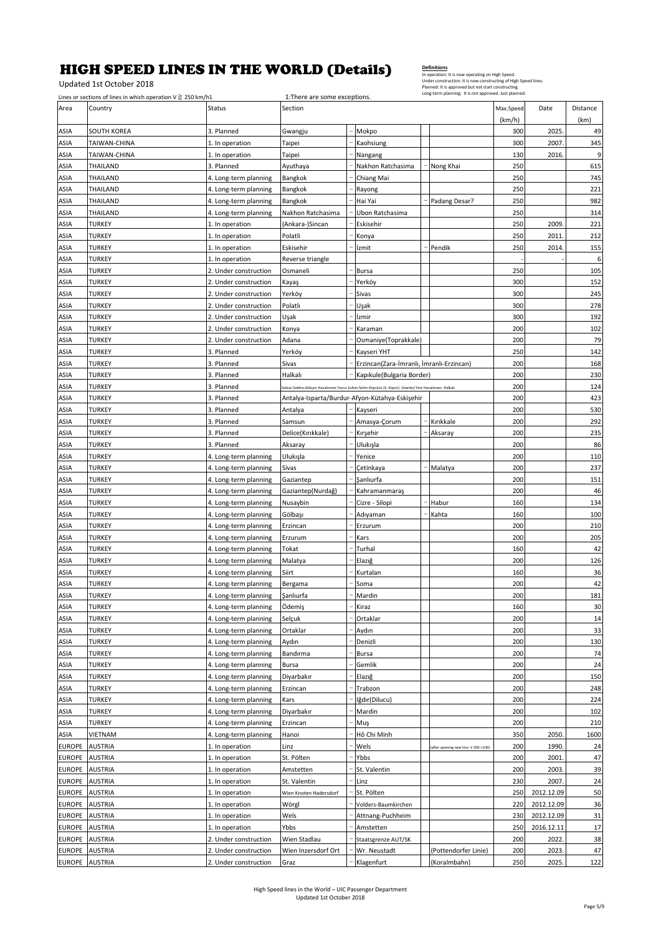Updated 1st October 2018

|                | Lines or sections of lines in which operation $V \ge 250$ km/h1 |                       | 1: There are some exceptions. |                                                                                                              |                                     |           |            |          |
|----------------|-----------------------------------------------------------------|-----------------------|-------------------------------|--------------------------------------------------------------------------------------------------------------|-------------------------------------|-----------|------------|----------|
| Area           | Country                                                         | Status                | Section                       |                                                                                                              |                                     | Max.Speed | Date       | Distance |
|                |                                                                 |                       |                               |                                                                                                              |                                     | (km/h)    |            | (km)     |
| ASIA           | SOUTH KOREA                                                     | 3. Planned            | Gwangju                       | Mokpo                                                                                                        |                                     | 300       | 2025.      | 49       |
| ASIA           | TAIWAN-CHINA                                                    | 1. In operation       | Taipei                        | Kaohsiung                                                                                                    |                                     | 300       | 2007.      | 345      |
| ASIA           | TAIWAN-CHINA                                                    | 1. In operation       | Taipei                        | Nangang                                                                                                      |                                     | 130       | 2016       | 9        |
| ASIA           | THAILAND                                                        | 3. Planned            | Ayuthaya                      | Nakhon Ratchasima                                                                                            | Nong Khai                           | 250       |            | 615      |
| ASIA           | THAILAND                                                        | 4. Long-term planning | Bangkok                       | Chiang Mai                                                                                                   |                                     | 250       |            | 745      |
|                |                                                                 |                       |                               |                                                                                                              |                                     |           |            |          |
| ASIA           | THAILAND                                                        | 4. Long-term planning | Bangkok                       | Rayong                                                                                                       |                                     | 250       |            | 221      |
| ASIA           | THAILAND                                                        | 4. Long-term planning | Bangkok                       | Hai Yai                                                                                                      | Padang Desar?                       | 250       |            | 982      |
| ASIA           | THAILAND                                                        | 4. Long-term planning | Nakhon Ratchasima             | Ubon Ratchasima                                                                                              |                                     | 250       |            | 314      |
| ASIA           | TURKEY                                                          | 1. In operation       | (Ankara-)Sincan               | Eskisehir                                                                                                    |                                     | 250       | 2009.      | 221      |
| ASIA           | TURKEY                                                          | 1. In operation       | Polatli                       | Konya                                                                                                        |                                     | 250       | 2011       | 212      |
| ASIA           | TURKEY                                                          | 1. In operation       | Eskisehir                     | İzmit                                                                                                        | Pendik                              | 250       | 2014       | 155      |
| ASIA           | <b>TURKEY</b>                                                   | 1. In operation       | Reverse triangle              |                                                                                                              |                                     |           |            | 6        |
| ASIA           | TURKEY                                                          | 2. Under construction | Osmaneli                      | <b>Bursa</b>                                                                                                 |                                     | 250       |            | 105      |
| ASIA           | TURKEY                                                          | 2. Under construction | Kayaş                         | Yerköy                                                                                                       |                                     | 300       |            | 152      |
| ASIA           | TURKEY                                                          | 2. Under construction | Yerköy                        | Sivas                                                                                                        |                                     | 300       |            | 245      |
| ASIA           | TURKEY                                                          | 2. Under construction | Polatlı                       | Uşak                                                                                                         |                                     | 300       |            | 278      |
|                |                                                                 | 2. Under construction |                               | İzmir                                                                                                        |                                     | 300       |            |          |
| ASIA           | TURKEY                                                          |                       | Uşak                          |                                                                                                              |                                     |           |            | 192      |
| ASIA           | TURKEY                                                          | 2. Under construction | Konya                         | Karaman                                                                                                      |                                     | 200       |            | 102      |
| ASIA           | <b>TURKEY</b>                                                   | 2. Under construction | Adana                         | Osmaniye(Toprakkale)                                                                                         |                                     | 200       |            | 79       |
| ASIA           | TURKEY                                                          | 3. Planned            | Yerköy                        | Kayseri YHT                                                                                                  |                                     | 250       |            | 142      |
| ASIA           | <b>TURKEY</b>                                                   | 3. Planned            | Sivas                         | Erzincan(Zara-İmranlı, İmranlı-Erzincan)                                                                     |                                     | 200       |            | 168      |
| ASIA           | TURKEY                                                          | 3. Planned            | Halkalı                       | Kapıkule(Bulgaria Border)                                                                                    |                                     | 200       |            | 230      |
| ASIA           | <b>TURKEY</b>                                                   | 3. Planned            |                               | .<br>Gebze-Sabiha Gökçen Havalimanı-Yavuz Sultan Selim Köprüsü (3. Köprü) -İstanbul Yeni Havalimanı -Halkalı |                                     | 200       |            | 124      |
| ASIA           | <b>TURKEY</b>                                                   | 3. Planned            |                               | Antalya-Isparta/Burdur-Afyon-Kütahya-Eskişehir                                                               |                                     | 200       |            | 423      |
| ASIA           | TURKEY                                                          | 3. Planned            | Antalya                       | Kayseri                                                                                                      |                                     | 200       |            | 530      |
| ASIA           | <b>TURKEY</b>                                                   | 3. Planned            | Samsun                        | Amasya-Corum                                                                                                 | Kırıkkale                           | 200       |            | 292      |
| ASIA           | <b>TURKEY</b>                                                   | 3. Planned            | Delice(Kırıkkale)             | Kırşehir                                                                                                     | Aksaray                             | 200       |            | 235      |
|                |                                                                 |                       |                               |                                                                                                              |                                     |           |            |          |
| ASIA           | <b>TURKEY</b>                                                   | 3. Planned            | Aksaray                       | Ulukışla                                                                                                     |                                     | 200       |            | 86       |
| ASIA           | TURKEY                                                          | 4. Long-term planning | Ulukışla                      | Yenice                                                                                                       |                                     | 200       |            | 110      |
| ASIA           | TURKEY                                                          | 4. Long-term planning | Sivas                         | Çetinkaya                                                                                                    | Malatya                             | 200       |            | 237      |
| ASIA           | <b>TURKEY</b>                                                   | 4. Long-term planning | Gaziantep                     | Şanlıurfa                                                                                                    |                                     | 200       |            | 151      |
| ASIA           | TURKEY                                                          | 4. Long-term planning | Gaziantep(Nurdağ)             | Kahramanmaraş                                                                                                |                                     | 200       |            | 46       |
| ASIA           | TURKEY                                                          | 4. Long-term planning | Nusaybin                      | Cizre - Silopi                                                                                               | Habur                               | 160       |            | 134      |
| ASIA           | <b>TURKEY</b>                                                   | 4. Long-term planning | Gölbaşı                       | Adıyaman                                                                                                     | Kahta                               | 160       |            | 100      |
| ASIA           | <b>TURKEY</b>                                                   | 4. Long-term planning | Erzincan                      | Erzurum                                                                                                      |                                     | 200       |            | 210      |
| ASIA           | TURKEY                                                          | 4. Long-term planning | Erzurum                       | Kars                                                                                                         |                                     | 200       |            | 205      |
| ASIA           | TURKEY                                                          | 4. Long-term planning | Tokat                         | Turhal                                                                                                       |                                     | 160       |            | 42       |
| ASIA           | TURKEY                                                          | 4. Long-term planning | Malatya                       | Elazığ                                                                                                       |                                     | 200       |            | 126      |
| ASIA           | TURKEY                                                          | 4. Long-term planning | Siirt                         | Kurtalan                                                                                                     |                                     | 160       |            | 36       |
|                |                                                                 |                       |                               |                                                                                                              |                                     | 200       |            |          |
| ASIA           | TURKEY                                                          | 4. Long-term planning | Bergama                       | Soma                                                                                                         |                                     |           |            | 42       |
| ASIA           | TURKEY                                                          | 4. Long-term planning | Şanlıurfa                     | Mardin                                                                                                       |                                     | 200       |            | 181      |
| ASIA           | TURKEY                                                          | 4. Long-term planning | Ödemiş                        | Kiraz                                                                                                        |                                     | 160       |            | 30       |
| ASIA           | <b>TURKEY</b>                                                   | 4. Long-term planning | Selçuk                        | Ortaklar                                                                                                     |                                     | 200       |            | 14       |
| ASIA           | <b>TURKEY</b>                                                   | 4. Long-term planning | Ortaklar                      | Aydın                                                                                                        |                                     | 200       |            | 33       |
| ASIA           | TURKEY                                                          | 4. Long-term planning | Aydın                         | Denizli                                                                                                      |                                     | 200       |            | 130      |
| ASIA           | <b>TURKEY</b>                                                   | 4. Long-term planning | Bandırma                      | Bursa                                                                                                        |                                     | 200       |            | 74       |
| ASIA           | TURKEY                                                          | 4. Long-term planning | Bursa                         | Gemlik                                                                                                       |                                     | 200       |            | 24       |
| ASIA           | <b>TURKEY</b>                                                   | 4. Long-term planning | Diyarbakır                    | Elazığ                                                                                                       |                                     | 200       |            | 150      |
| ASIA           | TURKEY                                                          | 4. Long-term planning | Erzincan                      | Trabzon                                                                                                      |                                     | 200       |            | 248      |
| ASIA           | <b>TURKEY</b>                                                   | 4. Long-term planning | Kars                          | Iğdır(Dilucu)                                                                                                |                                     | 200       |            | 224      |
| ASIA           | TURKEY                                                          | 4. Long-term planning | Diyarbakır                    | Mardin                                                                                                       |                                     | 200       |            | 102      |
| ASIA           | TURKEY                                                          | 4. Long-term planning | Erzincan                      | Muş                                                                                                          |                                     | 200       |            | 210      |
|                |                                                                 |                       |                               |                                                                                                              |                                     |           |            |          |
| ASIA           | VIETNAM                                                         | 4. Long-term planning | Hanoi                         | Hô Chi Minh                                                                                                  |                                     | 350       | 2050.      | 1600     |
| <b>EUROPE</b>  | <b>AUSTRIA</b>                                                  | 1. In operation       | Linz                          | Wels                                                                                                         | after opening new line: V 200->230) | 200       | 1990.      | 24       |
| <b>EUROPE</b>  | <b>AUSTRIA</b>                                                  | 1. In operation       | St. Pölten                    | Ybbs                                                                                                         |                                     | 200       | 2001.      | 47       |
| <b>EUROPE</b>  | <b>AUSTRIA</b>                                                  | 1. In operation       | Amstetten                     | St. Valentin                                                                                                 |                                     | 200       | 2003.      | 39       |
| <b>EUROPE</b>  | <b>AUSTRIA</b>                                                  | 1. In operation       | St. Valentin                  | Linz                                                                                                         |                                     | 230       | 2007.      | 24       |
| <b>EUROPE</b>  | <b>AUSTRIA</b>                                                  | 1. In operation       | Wien Knoten Hadersdorf        | St. Pölten                                                                                                   |                                     | 250       | 2012.12.09 | 50       |
| <b>EUROPE</b>  | <b>AUSTRIA</b>                                                  | 1. In operation       | Wörgl                         | Volders-Baumkirchen                                                                                          |                                     | 220       | 2012.12.09 | 36       |
| <b>EUROPE</b>  | <b>AUSTRIA</b>                                                  | 1. In operation       | Wels                          | Attnang-Puchheim                                                                                             |                                     | 230       | 2012.12.09 | 31       |
| <b>EUROPE</b>  | <b>AUSTRIA</b>                                                  | 1. In operation       | Ybbs                          | Amstetten                                                                                                    |                                     | 250       | 2016.12.11 | 17       |
| <b>EUROPE</b>  | <b>AUSTRIA</b>                                                  | 2. Under construction | Wien Stadlau                  | Staatsgrenze AUT/SK                                                                                          |                                     | 200       | 2022.      | 38       |
| <b>EUROPE</b>  | <b>AUSTRIA</b>                                                  | 2. Under construction | Wien Inzersdorf Ort           | Wr. Neustadt                                                                                                 | (Pottendorfer Linie)                | 200       | 2023.      | 47       |
|                |                                                                 |                       |                               |                                                                                                              |                                     |           |            |          |
| EUROPE AUSTRIA |                                                                 | 2. Under construction | Graz                          | Klagenfurt                                                                                                   | (Koralmbahn)                        | 250       | 2025.      | 122      |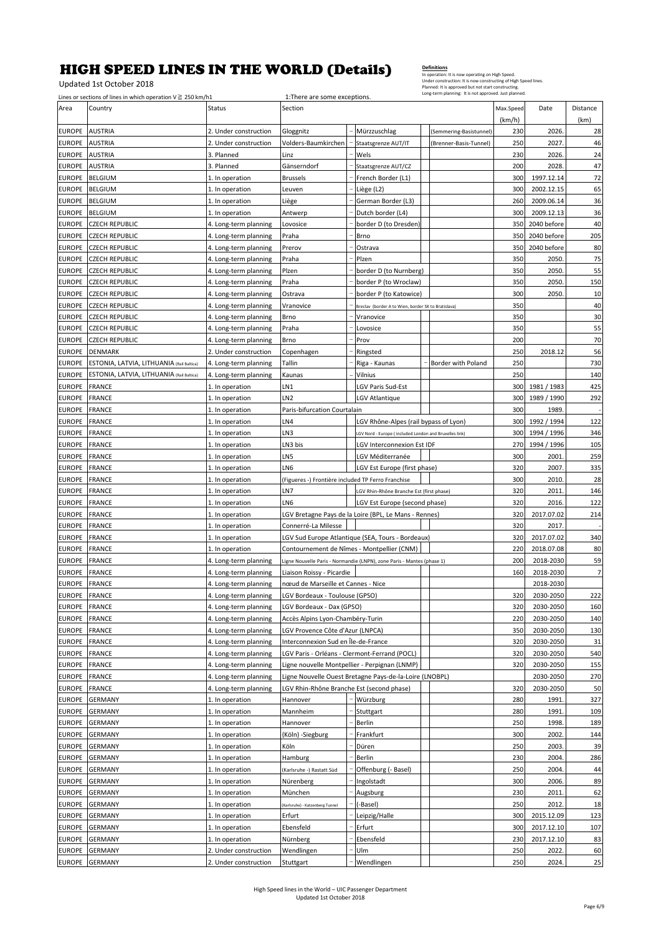Updated 1st October 2018

|                                | Lines or sections of lines in which operation $V \ge 250$ km/h1 |                                                | 1: There are some exceptions.                                   |                                                                        |                         |            |                        |                      |
|--------------------------------|-----------------------------------------------------------------|------------------------------------------------|-----------------------------------------------------------------|------------------------------------------------------------------------|-------------------------|------------|------------------------|----------------------|
| Area                           | Country                                                         | Status                                         | Section                                                         |                                                                        |                         | Max.Speed  | Date                   | Distance             |
|                                |                                                                 |                                                |                                                                 |                                                                        |                         | (km/h)     |                        | (km)                 |
| <b>EUROPE</b>                  | <b>AUSTRIA</b>                                                  | 2. Under construction                          | Gloggnitz                                                       | Mürzzuschlag                                                           | (Semmering-Basistunnel) | 230        | 2026                   | 28                   |
| <b>EUROPE</b>                  | <b>AUSTRIA</b>                                                  | 2. Under construction                          | Volders-Baumkirchen                                             | Staatsgrenze AUT/IT                                                    | (Brenner-Basis-Tunnel)  | 250        | 2027.                  | 46                   |
| <b>EUROPE</b>                  | <b>AUSTRIA</b>                                                  | 3. Planned                                     | Linz<br>Gänserndorf                                             | Wels                                                                   |                         | 230<br>200 | 2026.                  | 24<br>47             |
| <b>EUROPE</b><br><b>EUROPE</b> | <b>AUSTRIA</b><br><b>BELGIUM</b>                                | 3. Planned                                     | <b>Brussels</b>                                                 | Staatsgrenze AUT/CZ<br>French Border (L1)                              |                         | 300        | 2028<br>1997.12.14     | 72                   |
| <b>EUROPE</b>                  | <b>BELGIUM</b>                                                  | 1. In operation<br>1. In operation             | Leuven                                                          | Liège (L2)                                                             |                         | 300        | 2002.12.15             | 65                   |
| <b>EUROPE</b>                  | <b>BELGIUM</b>                                                  | 1. In operation                                | Liège                                                           | German Border (L3)                                                     |                         | 260        | 2009.06.14             | 36                   |
| <b>EUROPE</b>                  | <b>BELGIUM</b>                                                  | 1. In operation                                | Antwerp                                                         | Dutch border (L4)                                                      |                         | 300        | 2009.12.13             | 36                   |
| <b>EUROPE</b>                  | <b>CZECH REPUBLIC</b>                                           | 4. Long-term planning                          | Lovosice                                                        | border D (to Dresden)                                                  |                         | 350        | 2040 before            | 40                   |
| <b>EUROPE</b>                  | <b>CZECH REPUBLIC</b>                                           | 4. Long-term planning                          | Praha                                                           | <b>Brno</b>                                                            |                         | 350        | 2040 before            | 205                  |
| <b>EUROPE</b>                  | <b>CZECH REPUBLIC</b>                                           | 4. Long-term planning                          | Prerov                                                          | Ostrava                                                                |                         | 350        | 2040 before            | 80                   |
| <b>EUROPE</b>                  | <b>CZECH REPUBLIC</b>                                           | 4. Long-term planning                          | Praha                                                           | Plzen                                                                  |                         | 350        | 2050                   | 75                   |
| <b>EUROPE</b>                  | <b>CZECH REPUBLIC</b>                                           | 4. Long-term planning                          | Plzen                                                           | border D (to Nurnberg)                                                 |                         | 350        | 2050.                  | 55                   |
| <b>EUROPE</b>                  | <b>CZECH REPUBLIC</b>                                           | 4. Long-term planning                          | Praha                                                           | border P (to Wroclaw)                                                  |                         | 350        | 2050.                  | 150                  |
| <b>EUROPE</b>                  | <b>CZECH REPUBLIC</b>                                           | 4. Long-term planning                          | Ostrava                                                         | border P (to Katowice)                                                 |                         | 300        | 2050.                  | 10                   |
| <b>EUROPE</b>                  | <b>CZECH REPUBLIC</b>                                           | 4. Long-term planning                          | Vranovice                                                       | Breclav (border A to Wien, border SK to Bratislava)                    |                         | 350        |                        | 40                   |
| <b>EUROPE</b>                  | <b>CZECH REPUBLIC</b>                                           | 4. Long-term planning                          | Brno                                                            | Vranovice                                                              |                         | 350        |                        | 30                   |
| <b>EUROPE</b>                  | <b>CZECH REPUBLIC</b>                                           | 4. Long-term planning                          | Praha                                                           | Lovosice                                                               |                         | 350        |                        | 55                   |
| <b>EUROPE</b>                  | <b>CZECH REPUBLIC</b>                                           | 4. Long-term planning                          | Brno                                                            | Prov                                                                   |                         | 200        |                        | 70                   |
| <b>EUROPE</b>                  | <b>DENMARK</b>                                                  | 2. Under construction                          | Copenhagen                                                      | Ringsted                                                               |                         | 250        | 2018.12                | 56                   |
| <b>EUROPE</b>                  | ESTONIA, LATVIA, LITHUANIA (Rail Baltica)                       | 4. Long-term planning                          | Tallin                                                          | Riga - Kaunas                                                          | Border with Poland      | 250        |                        | 730                  |
| <b>EUROPE</b>                  | <b>ESTONIA, LATVIA, LITHUANIA (Rail Baltica)</b>                | 4. Long-term planning                          | Kaunas                                                          | Vilnius                                                                |                         | 250        |                        | 140                  |
| <b>EUROPE</b>                  | <b>FRANCE</b>                                                   | 1. In operation                                | LN1                                                             | LGV Paris Sud-Est                                                      |                         | 300        | 1981 / 1983            | 425                  |
| <b>EUROPE</b>                  | <b>FRANCE</b>                                                   | 1. In operation                                | LN <sub>2</sub>                                                 | LGV Atlantique                                                         |                         | 300        | 1989 / 1990            | 292                  |
| <b>EUROPE</b>                  | <b>FRANCE</b>                                                   | 1. In operation                                | Paris-bifurcation Courtalain                                    |                                                                        |                         | 300        | 1989.                  |                      |
| <b>EUROPE</b>                  | <b>FRANCE</b>                                                   | 1. In operation                                | LN4                                                             | LGV Rhône-Alpes (rail bypass of Lyon)                                  |                         | 300        | 1992 / 1994            | 122                  |
| <b>EUROPE</b>                  | <b>FRANCE</b>                                                   | 1. In operation                                | LN3                                                             | GV Nord - Europe (included London and Bruxelles link)                  |                         | 300        | 1994 / 1996            | 346                  |
| <b>EUROPE</b>                  | <b>FRANCE</b>                                                   | 1. In operation                                | LN3 bis                                                         | LGV Interconnexion Est IDF                                             |                         | 270        | 1994 / 1996            | 105                  |
| <b>EUROPE</b>                  | <b>FRANCE</b>                                                   | 1. In operation                                | LN5                                                             | LGV Méditerranée                                                       |                         | 300        | 2001                   | 259                  |
| <b>EUROPE</b>                  | <b>FRANCE</b>                                                   | 1. In operation                                | LN6                                                             | LGV Est Europe (first phase)                                           |                         | 320        | 2007.                  | 335                  |
| <b>EUROPE</b>                  | <b>FRANCE</b>                                                   | 1. In operation                                | (Figueres -) Frontière included TP Ferro Franchise              |                                                                        |                         | 300        | 2010                   | 28                   |
| <b>EUROPE</b>                  | <b>FRANCE</b>                                                   | 1. In operation                                | LN7                                                             | LGV Rhin-Rhône Branche Est (first phase)                               |                         | 320        | 2011                   | 146                  |
| <b>EUROPE</b>                  | <b>FRANCE</b>                                                   | 1. In operation                                | LN <sub>6</sub>                                                 | LGV Est Europe (second phase)                                          |                         | 320        | 2016.                  | 122                  |
| <b>EUROPE</b>                  | <b>FRANCE</b>                                                   | 1. In operation                                |                                                                 | LGV Bretagne Pays de la Loire (BPL, Le Mans - Rennes)                  |                         | 320        | 2017.07.02             | 214                  |
| <b>EUROPE</b>                  | <b>FRANCE</b>                                                   | 1. In operation                                | Connerré-La Milesse                                             |                                                                        |                         | 320        | 2017                   |                      |
| <b>EUROPE</b>                  | <b>FRANCE</b>                                                   | 1. In operation                                |                                                                 | LGV Sud Europe Atlantique (SEA, Tours - Bordeaux)                      |                         | 320        | 2017.07.02             | 340                  |
| <b>EUROPE</b>                  | <b>FRANCE</b>                                                   | 1. In operation                                | Contournement de Nîmes - Montpellier (CNM)                      |                                                                        |                         | 220        | 2018.07.08             | 80                   |
| <b>EUROPE</b>                  | <b>FRANCE</b>                                                   | 4. Long-term planning                          |                                                                 | Ligne Nouvelle Paris - Normandie (LNPN), zone Paris - Mantes (phase 1) |                         | 200<br>160 | 2018-2030              | 59<br>$\overline{7}$ |
| <b>EUROPE</b><br><b>EUROPE</b> | <b>FRANCE</b><br><b>FRANCE</b>                                  | 4. Long-term planning<br>4. Long-term planning | Liaison Roissy - Picardie<br>nœud de Marseille et Cannes - Nice |                                                                        |                         |            | 2018-2030<br>2018-2030 |                      |
| EUROPE FRANCE                  |                                                                 | 4. Long-term planning                          | LGV Bordeaux - Toulouse (GPSO)                                  |                                                                        |                         | 320        | 2030-2050              | 222                  |
| <b>EUROPE</b>                  | FRANCE                                                          | 4. Long-term planning                          | LGV Bordeaux - Dax (GPSO)                                       |                                                                        |                         | 320        | 2030-2050              | 160                  |
| <b>EUROPE</b>                  | <b>FRANCE</b>                                                   | 4. Long-term planning                          | Accès Alpins Lyon-Chambéry-Turin                                |                                                                        |                         | 220        | 2030-2050              | 140                  |
| <b>EUROPE</b>                  | <b>FRANCE</b>                                                   | 4. Long-term planning                          | LGV Provence Côte d'Azur (LNPCA)                                |                                                                        |                         | 350        | 2030-2050              | 130                  |
| <b>EUROPE</b>                  | <b>FRANCE</b>                                                   | 4. Long-term planning                          | Interconnexion Sud en Île-de-France                             |                                                                        |                         | 320        | 2030-2050              | 31                   |
| <b>EUROPE</b>                  | <b>FRANCE</b>                                                   | 4. Long-term planning                          | LGV Paris - Orléans - Clermont-Ferrand (POCL)                   |                                                                        |                         | 320        | 2030-2050              | 540                  |
| <b>EUROPE</b>                  | <b>FRANCE</b>                                                   | 4. Long-term planning                          | Ligne nouvelle Montpellier - Perpignan (LNMP)                   |                                                                        |                         | 320        | 2030-2050              | 155                  |
| <b>EUROPE</b>                  | <b>FRANCE</b>                                                   | 4. Long-term planning                          |                                                                 | Ligne Nouvelle Ouest Bretagne Pays-de-la-Loire (LNOBPL)                |                         |            | 2030-2050              | 270                  |
| <b>EUROPE</b>                  | <b>FRANCE</b>                                                   | 4. Long-term planning                          | LGV Rhin-Rhône Branche Est (second phase)                       |                                                                        |                         | 320        | 2030-2050              | 50                   |
| <b>EUROPE</b>                  | <b>GERMANY</b>                                                  | 1. In operation                                | Hannover                                                        | Würzburg                                                               |                         | 280        | 1991.                  | 327                  |
| <b>EUROPE</b>                  | <b>GERMANY</b>                                                  | 1. In operation                                | Mannheim                                                        | Stuttgart                                                              |                         | 280        | 1991.                  | 109                  |
| <b>EUROPE</b>                  | <b>GERMANY</b>                                                  | 1. In operation                                | Hannover                                                        | Berlin                                                                 |                         | 250        | 1998.                  | 189                  |
| <b>EUROPE</b>                  | <b>GERMANY</b>                                                  | 1. In operation                                | (Köln) -Siegburg                                                | Frankfurt                                                              |                         | 300        | 2002.                  | 144                  |
| <b>EUROPE</b>                  | <b>GERMANY</b>                                                  | 1. In operation                                | Köln                                                            | Düren                                                                  |                         | 250        | 2003.                  | 39                   |
| <b>EUROPE</b>                  | <b>GERMANY</b>                                                  | 1. In operation                                | Hamburg                                                         | Berlin                                                                 |                         | 230        | 2004.                  | 286                  |
| <b>EUROPE</b>                  | <b>GERMANY</b>                                                  | 1. In operation                                | (Karlsruhe -) Rastatt Süd                                       | Offenburg (- Basel)                                                    |                         | 250        | 2004.                  | 44                   |
| <b>EUROPE</b>                  | <b>GERMANY</b>                                                  | 1. In operation                                | Nürenberg                                                       | Ingolstadt                                                             |                         | 300        | 2006.                  | 89                   |
| <b>EUROPE</b>                  | <b>GERMANY</b>                                                  | 1. In operation                                | München                                                         | Augsburg                                                               |                         | 230        | 2011                   | 62                   |
| <b>EUROPE</b>                  | <b>GERMANY</b>                                                  | 1. In operation                                | Karlsruhe) - Katzenberg Tunnel                                  | -Basel)                                                                |                         | 250        | 2012.                  | 18                   |
| <b>EUROPE</b>                  | <b>GERMANY</b>                                                  | 1. In operation                                | Erfurt                                                          | Leipzig/Halle                                                          |                         | 300        | 2015.12.09             | 123                  |
| <b>EUROPE</b>                  | <b>GERMANY</b>                                                  | 1. In operation                                | Ebensfeld                                                       | Erfurt                                                                 |                         | 300        | 2017.12.10             | 107                  |
| <b>EUROPE</b>                  | <b>GERMANY</b>                                                  | 1. In operation                                | Nürnberg                                                        | Ebensfeld                                                              |                         | 230        | 2017.12.10             | 83                   |
| <b>EUROPE</b>                  | <b>GERMANY</b>                                                  | 2. Under construction                          | Wendlingen                                                      | Ulm                                                                    |                         | 250        | 2022.                  | 60                   |
| <b>EUROPE</b>                  | <b>GERMANY</b>                                                  | 2. Under construction                          | Stuttgart                                                       | Wendlingen                                                             |                         | 250        | 2024.                  | 25                   |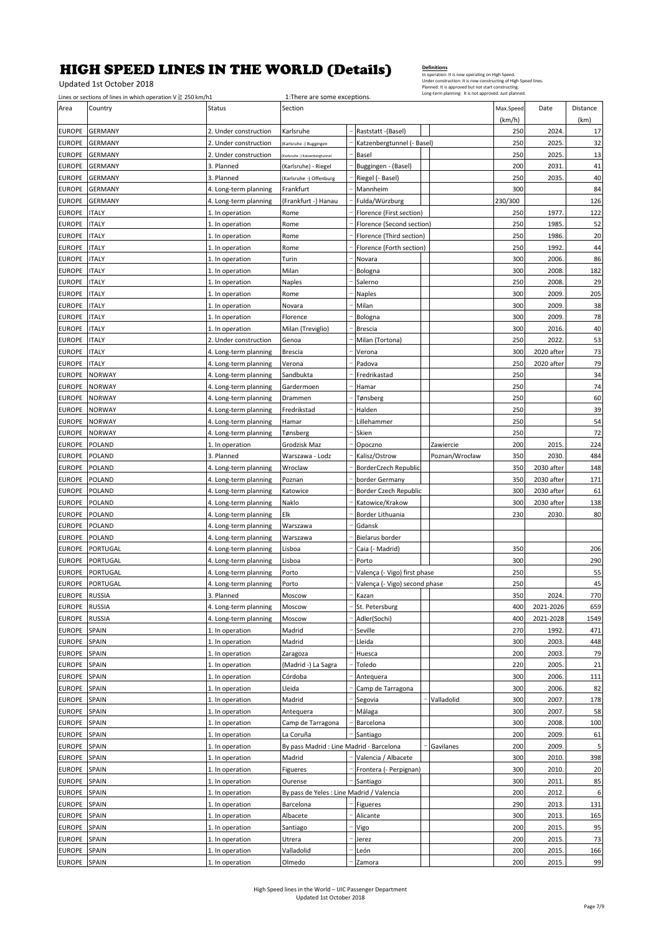Updated 1st October 2018

|                                | Lines or sections of lines in which operation $V \ge 250$ km/h1 |                                                | 1: There are some exceptions.                           |                                     |                |            |                |           |
|--------------------------------|-----------------------------------------------------------------|------------------------------------------------|---------------------------------------------------------|-------------------------------------|----------------|------------|----------------|-----------|
| Area                           | Country                                                         | Status                                         | Section                                                 |                                     |                | Max.Speed  | Date           | Distance  |
|                                | <b>GERMANY</b>                                                  |                                                |                                                         |                                     |                | (km/h)     |                | (km)      |
| <b>EUROPE</b>                  |                                                                 | 2. Under construction                          | Karlsruhe                                               | Raststatt - (Basel)                 |                | 250<br>250 | 2024<br>2025.  | 17        |
| <b>EUROPE</b><br><b>EUROPE</b> | <b>GERMANY</b><br><b>GERMANY</b>                                | 2. Under construction<br>2. Under construction | Karlsruhe -) Buggingen<br>Karlsruhe -) Katzenbergtunnel | Katzenbergtunnel (- Basel)<br>Basel |                | 250        | 2025.          | 32<br>13  |
| <b>EUROPE</b>                  | <b>GERMANY</b>                                                  | 3. Planned                                     | (Karlsruhe) - Riegel                                    | Buggingen - (Basel)                 |                | 200        | 2031           | 41        |
| <b>EUROPE</b>                  | <b>GERMANY</b>                                                  | 3. Planned                                     | (Karlsruhe -) Offenburg                                 | Riegel (- Basel)                    |                | 250        | 2035.          | 40        |
| <b>EUROPE</b>                  | <b>GERMANY</b>                                                  | 4. Long-term planning                          | Frankfurt                                               | Mannheim                            |                | 300        |                | 84        |
| <b>EUROPE</b>                  | <b>GERMANY</b>                                                  | 4. Long-term planning                          | (Frankfurt -) Hanau                                     | Fulda/Würzburg                      |                | 230/300    |                | 126       |
| <b>EUROPE</b>                  | <b>ITALY</b>                                                    | 1. In operation                                | Rome                                                    | Florence (First section)            |                | 250        | 1977.          | 122       |
| <b>EUROPE</b>                  | <b>ITALY</b>                                                    | 1. In operation                                | Rome                                                    | Florence (Second section)           |                | 250        | 1985.          | 52        |
| <b>EUROPE</b>                  | <b>ITALY</b>                                                    | 1. In operation                                | Rome                                                    | Florence (Third section)            |                | 250        | 1986.          | 20        |
| <b>EUROPE</b>                  | <b>ITALY</b>                                                    | 1. In operation                                | Rome                                                    | Florence (Forth section)            |                | 250        | 1992.          | 44        |
| <b>EUROPE</b>                  | <b>ITALY</b>                                                    | 1. In operation                                | Turin                                                   | Novara                              |                | 300        | 2006           | 86        |
| <b>EUROPE</b>                  | <b>ITALY</b>                                                    | 1. In operation                                | Milan                                                   | Bologna                             |                | 300        | 2008.          | 182       |
| <b>EUROPE</b>                  | <b>ITALY</b>                                                    | 1. In operation                                | Naples                                                  | Salerno                             |                | 250        | 2008           | 29        |
| <b>EUROPE</b>                  | <b>ITALY</b>                                                    | 1. In operation                                | Rome                                                    | Naples                              |                | 300        | 2009.          | 205       |
| <b>EUROPE</b>                  | <b>ITALY</b>                                                    | 1. In operation                                | Novara                                                  | Milan                               |                | 300        | 2009           | 38        |
| <b>EUROPE</b>                  | <b>ITALY</b>                                                    | 1. In operation                                | Florence                                                | Bologna                             |                | 300        | 2009.          | 78        |
| EUROPE                         | <b>ITALY</b>                                                    | 1. In operation                                | Milan (Treviglio)                                       | Brescia                             |                | 300        | 2016.          | 40        |
| <b>EUROPE</b>                  | <b>ITALY</b>                                                    | 2. Under construction                          | Genoa                                                   | Milan (Tortona)                     |                | 250        | 2022.          | 53        |
| <b>EUROPE</b>                  | <b>ITALY</b>                                                    | 4. Long-term planning                          | <b>Brescia</b>                                          | Verona                              |                | 300        | 2020 after     | 73        |
| <b>EUROPE</b>                  | <b>ITALY</b>                                                    | 4. Long-term planning                          | Verona                                                  | Padova                              |                | 250        | 2020 after     | 79        |
| EUROPE                         | <b>NORWAY</b>                                                   | 4. Long-term planning                          | Sandbukta                                               | Fredrikastad                        |                | 250        |                | 34        |
| <b>EUROPE</b>                  | <b>NORWAY</b>                                                   | 4. Long-term planning                          | Gardermoen                                              | Hamar                               |                | 250        |                | 74        |
| <b>EUROPE</b>                  | <b>NORWAY</b>                                                   | 4. Long-term planning                          | Drammen                                                 | Tønsberg                            |                | 250        |                | 60        |
| <b>EUROPE</b>                  | <b>NORWAY</b>                                                   | 4. Long-term planning                          | Fredrikstad                                             | Halden                              |                | 250        |                | 39        |
| EUROPE                         | <b>NORWAY</b>                                                   | 4. Long-term planning                          | Hamar                                                   | .illehammer                         |                | 250        |                | 54        |
| <b>EUROPE</b>                  | <b>NORWAY</b>                                                   | 4. Long-term planning                          | Tønsberg                                                | Skien                               |                | 250        |                | 72        |
| <b>EUROPE</b>                  | POLAND                                                          | 1. In operation                                | Grodzisk Maz                                            | Opoczno                             | Zawiercie      | 200        | 2015.          | 224       |
| <b>EUROPE</b>                  | POLAND                                                          | 3. Planned                                     | Warszawa - Lodz                                         | Kalisz/Ostrow                       | Poznan/Wrocław | 350        | 2030.          | 484       |
| <b>EUROPE</b>                  | POLAND                                                          | 4. Long-term planning                          | Wroclaw                                                 | BorderCzech Republic                |                | 350        | 2030 after     | 148       |
| <b>EUROPE</b>                  | POLAND                                                          | 4. Long-term planning                          | Poznan                                                  | border Germany                      |                | 350        | 2030 after     | 171       |
| <b>EUROPE</b>                  | POLAND                                                          | 4. Long-term planning                          | Katowice                                                | Border Czech Republic               |                | 300        | 2030 after     | 61        |
|                                |                                                                 |                                                |                                                         |                                     |                |            |                |           |
| <b>EUROPE</b>                  | POLAND                                                          |                                                | Naklo                                                   | Katowice/Krakow                     |                | 300        | 2030 after     |           |
| <b>EUROPE</b>                  | POLAND                                                          | 4. Long-term planning                          | Elk                                                     | Border Lithuania                    |                | 230        | 2030.          | 138<br>80 |
| <b>EUROPE</b>                  | POLAND                                                          | 4. Long-term planning<br>4. Long-term planning | Warszawa                                                | Gdansk                              |                |            |                |           |
| <b>EUROPE</b>                  | POLAND                                                          | 4. Long-term planning                          | Warszawa                                                | Bielarus border                     |                |            |                |           |
| <b>EUROPE</b>                  | PORTUGAL                                                        | 4. Long-term planning                          | Lisboa                                                  | Caia (- Madrid)                     |                | 350        |                | 206       |
| <b>EUROPE</b>                  | PORTUGAL                                                        | 4. Long-term planning                          | Lisboa                                                  | Porto                               |                | 300        |                | 290       |
| <b>EUROPE</b>                  | PORTUGAL                                                        | 4. Long-term planning                          | Porto                                                   | Valença (- Vigo) first phase        |                | 250        |                | 55        |
| <b>EUROPE</b>                  | PORTUGAL                                                        | 4. Long-term planning                          | Porto                                                   | Valença (- Vigo) second phase       |                | 250        |                | 45        |
| EUROPE                         | <b>RUSSIA</b>                                                   | 3. Planned                                     | Moscow                                                  | Kazan                               |                | 350        | 2024.          | 770       |
| <b>EUROPE</b>                  | <b>RUSSIA</b>                                                   | 4. Long-term planning                          | Moscow                                                  | St. Petersburg                      |                | 400        | 2021-2026      | 659       |
| <b>EUROPE</b>                  | <b>RUSSIA</b>                                                   | 4. Long-term planning                          | Moscow                                                  | Adler(Sochi)                        |                | 400        | 2021-2028      | 1549      |
| <b>EUROPE</b>                  | SPAIN                                                           | 1. In operation                                | Madrid                                                  | Seville                             |                | 270        | 1992.          | 471       |
| <b>EUROPE</b>                  | SPAIN                                                           | 1. In operation                                | Madrid                                                  | Lleida                              |                | 300        | 2003.          | 448       |
| <b>EUROPE</b>                  | SPAIN                                                           | 1. In operation                                | Zaragoza                                                | Huesca                              |                | 200        | 2003.          | 79        |
| <b>EUROPE</b>                  | SPAIN                                                           | 1. In operation                                | (Madrid -) La Sagra                                     | Toledo                              |                | 220        | 2005.          | 21        |
| <b>EUROPE</b>                  | SPAIN                                                           | 1. In operation                                | Córdoba                                                 | Antequera                           |                | 300        | 2006.          | 111       |
| <b>EUROPE</b>                  | SPAIN                                                           | 1. In operation                                | Lleida                                                  | Camp de Tarragona                   |                | 300        | 2006.          | 82        |
| <b>EUROPE</b>                  | SPAIN                                                           | 1. In operation                                | Madrid                                                  | Segovia                             | Valladolid     | 300        | 2007.          | 178       |
| <b>EUROPE</b>                  | SPAIN                                                           | 1. In operation                                | Antequera                                               | Málaga                              |                | 300        | 2007.          | 58        |
| <b>EUROPE</b>                  | SPAIN                                                           | 1. In operation                                | Camp de Tarragona                                       | Barcelona                           |                | 300        | 2008.          | 100       |
| EUROPE                         | SPAIN                                                           | 1. In operation                                | La Coruña                                               | Santiago                            |                | 200        | 2009.          | 61        |
| <b>EUROPE</b>                  | SPAIN                                                           | 1. In operation                                | By pass Madrid : Line Madrid - Barcelona                |                                     | Gavilanes      | 200        | 2009.          | 5         |
| <b>EUROPE</b>                  | SPAIN                                                           | 1. In operation                                | Madrid                                                  | Valencia / Albacete                 |                | 300        | 2010.          | 398       |
| <b>EUROPE</b>                  | SPAIN                                                           | 1. In operation                                | Figueres                                                | Frontera (- Perpignan)              |                | 300        | 2010.          | 20        |
| <b>EUROPE</b>                  | SPAIN                                                           | 1. In operation                                | Ourense                                                 | Santiago                            |                | 300        | 2011           | 85        |
| <b>EUROPE</b>                  | SPAIN                                                           | 1. In operation                                | By pass de Yeles : Line Madrid / Valencia               |                                     |                | 200        | 2012.          | 6         |
| <b>EUROPE</b>                  | SPAIN                                                           | 1. In operation                                | Barcelona                                               | Figueres                            |                | 290        | 2013.          | 131       |
| <b>EUROPE</b>                  | SPAIN                                                           | 1. In operation                                | Albacete                                                | Alicante                            |                | 300        | 2013.          | 165       |
| <b>EUROPE</b>                  | SPAIN                                                           | 1. In operation                                | Santiago                                                | Vigo                                |                | 200        | 2015.          | 95        |
| <b>EUROPE</b>                  | SPAIN                                                           | 1. In operation                                | Utrera                                                  | Jerez                               |                | 200        | 2015           | 73        |
| <b>EUROPE</b><br><b>EUROPE</b> | SPAIN<br>SPAIN                                                  | 1. In operation<br>1. In operation             | Valladolid<br>Olmedo                                    | León<br>Zamora                      |                | 200<br>200 | 2015.<br>2015. | 166<br>99 |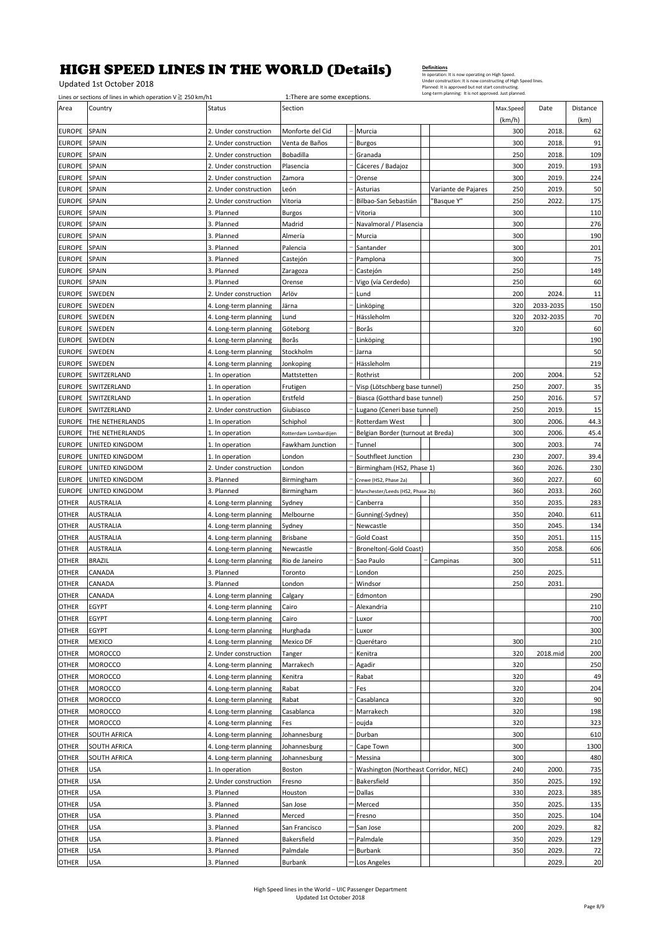Updated 1st October 2018

|                                | Lines or sections of lines in which operation $V \ge 250$ km/h1 |                                                | 1: There are some exceptions. |                                      | Planned: It is approved but not start constructing.<br>Long-term planning: It is not approved. Just planned. |            |           |            |
|--------------------------------|-----------------------------------------------------------------|------------------------------------------------|-------------------------------|--------------------------------------|--------------------------------------------------------------------------------------------------------------|------------|-----------|------------|
| Area                           | Country                                                         | Status                                         | Section                       |                                      |                                                                                                              | Max.Speed  | Date      | Distance   |
|                                |                                                                 |                                                |                               |                                      |                                                                                                              | (km/h)     |           | (km)       |
| <b>EUROPE</b>                  | <b>SPAIN</b>                                                    | 2. Under construction                          | Monforte del Cid              | Murcia                               |                                                                                                              | 300        | 2018      | 62         |
| <b>EUROPE</b>                  | <b>SPAIN</b>                                                    | 2. Under construction                          | Venta de Baños                | <b>Burgos</b>                        |                                                                                                              | 300        | 2018.     | 91         |
| <b>EUROPE</b>                  | <b>SPAIN</b>                                                    | 2. Under construction                          | Bobadilla                     | Granada                              |                                                                                                              | 250        | 2018.     | 109        |
| <b>EUROPE</b>                  | SPAIN                                                           | 2. Under construction                          | Plasencia                     | Cáceres / Badajoz                    |                                                                                                              | 300        | 2019.     | 193        |
| <b>EUROPE</b>                  | <b>SPAIN</b>                                                    | 2. Under construction                          | Zamora                        | Orense                               |                                                                                                              | 300        | 2019.     | 224        |
| <b>EUROPE</b>                  | SPAIN                                                           | 2. Under construction                          | León                          | Asturias                             | Variante de Pajares                                                                                          | 250        | 2019.     | 50         |
| <b>EUROPE</b>                  | <b>SPAIN</b>                                                    | 2. Under construction                          | Vitoria                       | Bilbao-San Sebastián                 | "Basque Y"                                                                                                   | 250        | 2022      | 175        |
| <b>EUROPE</b>                  | SPAIN                                                           | 3. Planned                                     | <b>Burgos</b>                 | Vitoria                              |                                                                                                              | 300        |           | 110        |
| <b>EUROPE</b>                  | <b>SPAIN</b>                                                    | 3. Planned                                     | Madrid                        | Navalmoral / Plasencia               |                                                                                                              | 300        |           | 276        |
| <b>EUROPE</b>                  | SPAIN                                                           | 3. Planned                                     | Almería                       | Murcia                               |                                                                                                              | 300        |           | 190        |
| <b>EUROPE</b>                  | <b>SPAIN</b>                                                    | 3. Planned                                     | Palencia                      | Santander                            |                                                                                                              | 300        |           | 201        |
| <b>EUROPE</b>                  | <b>SPAIN</b>                                                    | 3. Planned                                     | Castejón                      | Pamplona                             |                                                                                                              | 300        |           | 75         |
| <b>EUROPE</b>                  | <b>SPAIN</b>                                                    | 3. Planned                                     | Zaragoza                      | Castejón                             |                                                                                                              | 250        |           | 149        |
| <b>EUROPE</b>                  | <b>SPAIN</b>                                                    | 3. Planned                                     | Orense                        | Vigo (vía Cerdedo)                   |                                                                                                              | 250        |           | 60         |
| <b>EUROPE</b>                  | <b>SWEDEN</b>                                                   | 2. Under construction                          | Arlöv                         | Lund                                 |                                                                                                              | 200        | 2024.     | 11         |
| <b>EUROPE</b>                  | SWEDEN                                                          | 4. Long-term planning                          | Järna                         | Linköping                            |                                                                                                              | 320        | 2033-2035 | 150        |
| <b>EUROPE</b>                  | SWEDEN                                                          | 4. Long-term planning                          | Lund                          | Hässleholm                           |                                                                                                              | 320        | 2032-2035 | 70         |
| <b>EUROPE</b>                  | SWEDEN                                                          | 4. Long-term planning                          | Göteborg                      | Borås                                |                                                                                                              | 320        |           | 60         |
| <b>EUROPE</b>                  | SWEDEN                                                          | 4. Long-term planning                          | Borås                         | Linköping                            |                                                                                                              |            |           | 190<br>50  |
| <b>EUROPE</b><br><b>EUROPE</b> | <b>SWEDEN</b><br>SWEDEN                                         | 4. Long-term planning                          | Stockholm<br>Jonkoping        | Jarna<br>Hässleholm                  |                                                                                                              |            |           | 219        |
| <b>EUROPE</b>                  | SWITZERLAND                                                     | 4. Long-term planning<br>1. In operation       | Mattstetten                   | Rothrist                             |                                                                                                              | 200        | 2004.     | 52         |
| <b>EUROPE</b>                  | SWITZERLAND                                                     | 1. In operation                                | Frutigen                      | Visp (Lötschberg base tunnel)        |                                                                                                              | 250        | 2007.     | 35         |
| <b>EUROPE</b>                  | SWITZERLAND                                                     | 1. In operation                                | Erstfeld                      | Biasca (Gotthard base tunnel)        |                                                                                                              | 250        | 2016      | 57         |
| <b>EUROPE</b>                  | SWITZERLAND                                                     | 2. Under construction                          | Giubiasco                     | Lugano (Ceneri base tunnel)          |                                                                                                              | 250        | 2019.     | 15         |
| <b>EUROPE</b>                  | THE NETHERLANDS                                                 | 1. In operation                                | Schiphol                      | Rotterdam West                       |                                                                                                              | 300        | 2006      | 44.3       |
| <b>EUROPE</b>                  | THE NETHERLANDS                                                 | 1. In operation                                | Rotterdam Lombardijen         | Belgian Border (turnout at Breda)    |                                                                                                              | 300        | 2006      | 45.4       |
| <b>EUROPE</b>                  | <b>UNITED KINGDOM</b>                                           | 1. In operation                                | Fawkham Junction              | Tunnel                               |                                                                                                              | 300        | 2003      | 74         |
| <b>EUROPE</b>                  | UNITED KINGDOM                                                  | 1. In operation                                | London                        | Southfleet Junction                  |                                                                                                              | 230        | 2007      | 39.4       |
| <b>EUROPE</b>                  | UNITED KINGDOM                                                  | 2. Under construction                          | London                        | Birmingham (HS2, Phase 1)            |                                                                                                              | 360        | 2026      | 230        |
| <b>EUROPE</b>                  | UNITED KINGDOM                                                  | 3. Planned                                     | Birmingham                    | Crewe (HS2, Phase 2a)                |                                                                                                              | 360        | 2027.     | 60         |
| <b>EUROPE</b>                  | UNITED KINGDOM                                                  | 3. Planned                                     | Birmingham                    | Manchester/Leeds (HS2, Phase 2b)     |                                                                                                              | 360        | 2033      | 260        |
| <b>OTHER</b>                   | <b>AUSTRALIA</b>                                                | 4. Long-term planning                          | Sydney                        | Canberra                             |                                                                                                              | 350        | 2035      | 283        |
| <b>OTHER</b>                   | <b>AUSTRALIA</b>                                                | 4. Long-term planning                          | Melbourne                     | Gunning(-Sydney)                     |                                                                                                              | 350        | 2040      | 611        |
| <b>OTHER</b>                   | <b>AUSTRALIA</b>                                                | 4. Long-term planning                          | Sydney                        | Newcastle                            |                                                                                                              | 350        | 2045      | 134        |
| <b>OTHER</b>                   | <b>AUSTRALIA</b>                                                | 4. Long-term planning                          | <b>Brisbane</b>               | Gold Coast                           |                                                                                                              | 350        | 2051      | 115        |
| <b>OTHER</b>                   | <b>AUSTRALIA</b>                                                | 4. Long-term planning                          | Newcastle                     | Bronelton(-Gold Coast)               |                                                                                                              | 350        | 2058.     | 606        |
| <b>OTHER</b>                   | <b>BRAZIL</b>                                                   | 4. Long-term planning                          | Rio de Janeiro                | Sao Paulo                            | Campinas                                                                                                     | 300        |           | 511        |
| <b>OTHER</b>                   | CANADA                                                          | 3. Planned                                     | Toronto                       | London                               |                                                                                                              | 250        | 2025.     |            |
| <b>OTHER</b>                   | CANADA                                                          | 3. Planned                                     | London                        | Windsor                              |                                                                                                              | 250        | 2031      |            |
| <b>OTHER</b>                   | CANADA                                                          | 4. Long-term planning                          | Calgary                       | Edmonton                             |                                                                                                              |            |           | 290        |
| <b>OTHER</b>                   | EGYPT                                                           | 4. Long-term planning                          | Cairo                         | Alexandria                           |                                                                                                              |            |           | 210        |
| <b>OTHER</b>                   | <b>EGYPT</b>                                                    | 4. Long-term planning                          | Cairo                         | Luxor                                |                                                                                                              |            |           | 700        |
| <b>OTHER</b>                   | <b>EGYPT</b>                                                    | 4. Long-term planning                          | Hurghada                      | Luxor                                |                                                                                                              |            |           | 300        |
| <b>OTHER</b><br><b>OTHER</b>   | MEXICO<br>MOROCCO                                               | 4. Long-term planning<br>2. Under construction | Mexico DF                     | Querétaro<br>Kenitra                 |                                                                                                              | 300<br>320 | 2018.mid  | 210<br>200 |
| <b>OTHER</b>                   | MOROCCO                                                         | 4. Long-term planning                          | Tanger<br>Marrakech           | Agadir                               |                                                                                                              | 320        |           | 250        |
| <b>OTHER</b>                   | MOROCCO                                                         | 4. Long-term planning                          | Kenitra                       | Rabat                                |                                                                                                              | 320        |           | 49         |
| <b>OTHER</b>                   | MOROCCO                                                         | 4. Long-term planning                          | Rabat                         | Fes                                  |                                                                                                              | 320        |           | 204        |
| <b>OTHER</b>                   | MOROCCO                                                         | 4. Long-term planning                          | Rabat                         | Casablanca                           |                                                                                                              | 320        |           | 90         |
| <b>OTHER</b>                   | <b>MOROCCO</b>                                                  | 4. Long-term planning                          | Casablanca                    | Marrakech                            |                                                                                                              | 320        |           | 198        |
| <b>OTHER</b>                   | <b>MOROCCO</b>                                                  | 4. Long-term planning                          | Fes                           | oujda                                |                                                                                                              | 320        |           | 323        |
| <b>OTHER</b>                   | SOUTH AFRICA                                                    | 4. Long-term planning                          | Johannesburg                  | Durban                               |                                                                                                              | 300        |           | 610        |
| <b>OTHER</b>                   | SOUTH AFRICA                                                    | 4. Long-term planning                          | Johannesburg                  | Cape Town                            |                                                                                                              | 300        |           | 1300       |
| <b>OTHER</b>                   | SOUTH AFRICA                                                    | 4. Long-term planning                          | Johannesburg                  | Messina                              |                                                                                                              | 300        |           | 480        |
| <b>OTHER</b>                   | USA                                                             | 1. In operation                                | Boston                        | Washington (Northeast Corridor, NEC) |                                                                                                              | 240        | 2000.     | 735        |
| <b>OTHER</b>                   | <b>USA</b>                                                      | 2. Under construction                          | Fresno                        | Bakersfield                          |                                                                                                              | 350        | 2025.     | 192        |
| <b>OTHER</b>                   | USA                                                             | 3. Planned                                     | Houston                       | Dallas                               |                                                                                                              | 330        | 2023.     | 385        |
| <b>OTHER</b>                   | <b>USA</b>                                                      | 3. Planned                                     | San Jose                      | Merced                               |                                                                                                              | 350        | 2025      | 135        |
| <b>OTHER</b>                   | USA                                                             | 3. Planned                                     | Merced                        | Fresno                               |                                                                                                              | 350        | 2025.     | 104        |
| <b>OTHER</b>                   | <b>USA</b>                                                      | 3. Planned                                     | San Francisco                 | San Jose                             |                                                                                                              | 200        | 2029.     | 82         |
| <b>OTHER</b>                   | USA                                                             | 3. Planned                                     | Bakersfield                   | Palmdale                             |                                                                                                              | 350        | 2029.     | 129        |
| OTHER                          | <b>USA</b>                                                      | 3. Planned                                     | Palmdale                      | Burbank                              |                                                                                                              | 350        | 2029.     | 72         |
| <b>OTHER</b>                   | <b>USA</b>                                                      | 3. Planned                                     | Burbank                       | Los Angeles                          |                                                                                                              |            | 2029.     | 20         |